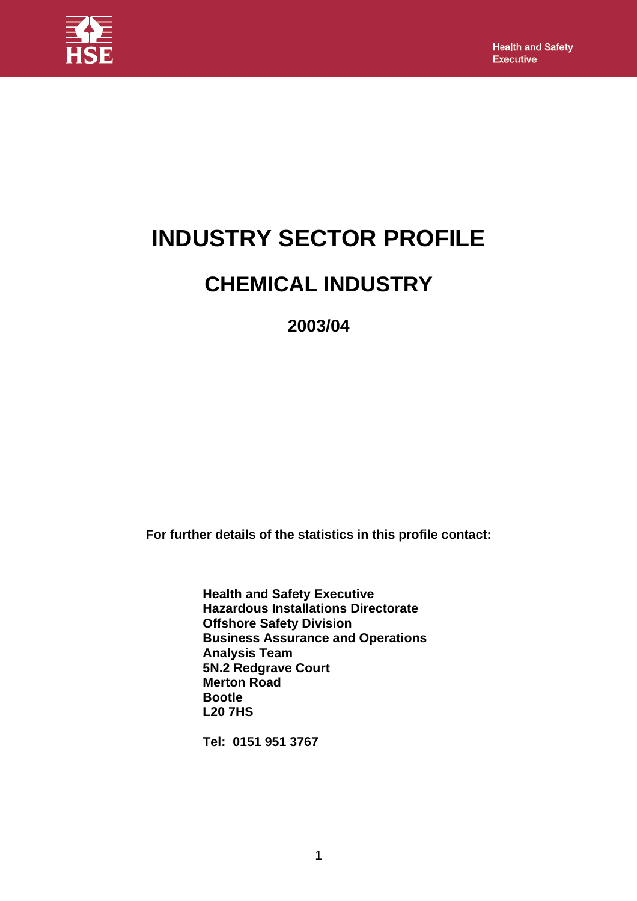

# **INDUSTRY SECTOR PROFILE**

## **CHEMICAL INDUSTRY**

**2003/04**

**For further details of the statistics in this profile contact:** 

**Health and Safety Executive Hazardous Installations Directorate Offshore Safety Division Business Assurance and Operations Analysis Team 5N.2 Redgrave Court Merton Road Bootle L20 7HS** 

**Tel: 0151 951 3767**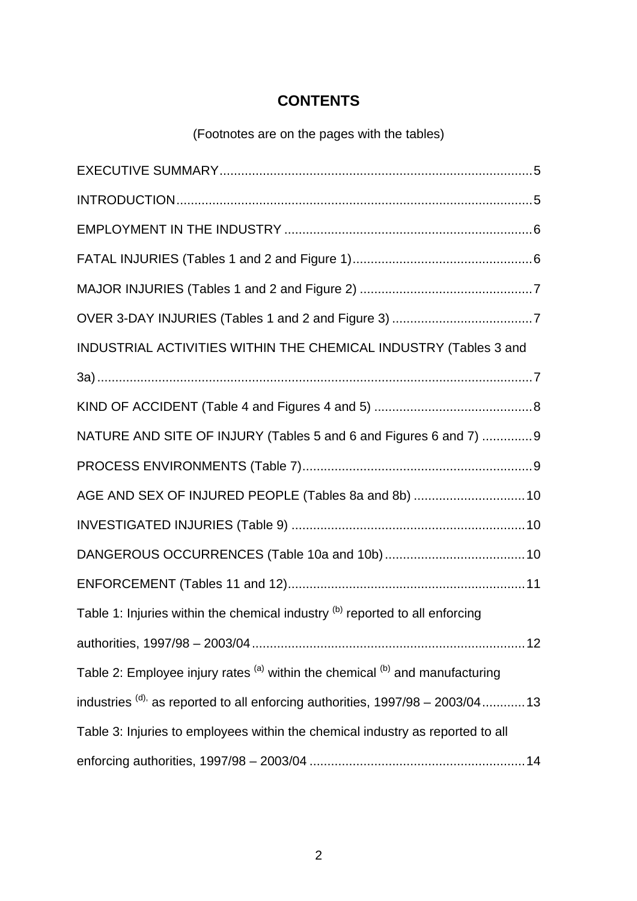## **CONTENTS**

(Footnotes are on the pages with the tables)

| INDUSTRIAL ACTIVITIES WITHIN THE CHEMICAL INDUSTRY (Tables 3 and                     |
|--------------------------------------------------------------------------------------|
|                                                                                      |
|                                                                                      |
| NATURE AND SITE OF INJURY (Tables 5 and 6 and Figures 6 and 7) 9                     |
|                                                                                      |
| AGE AND SEX OF INJURED PEOPLE (Tables 8a and 8b)  10                                 |
|                                                                                      |
|                                                                                      |
|                                                                                      |
| Table 1: Injuries within the chemical industry (b) reported to all enforcing         |
|                                                                                      |
| Table 2: Employee injury rates (a) within the chemical (b) and manufacturing         |
| industries $^{(d)}$ as reported to all enforcing authorities, $1997/98 - 2003/04$ 13 |
| Table 3: Injuries to employees within the chemical industry as reported to all       |
|                                                                                      |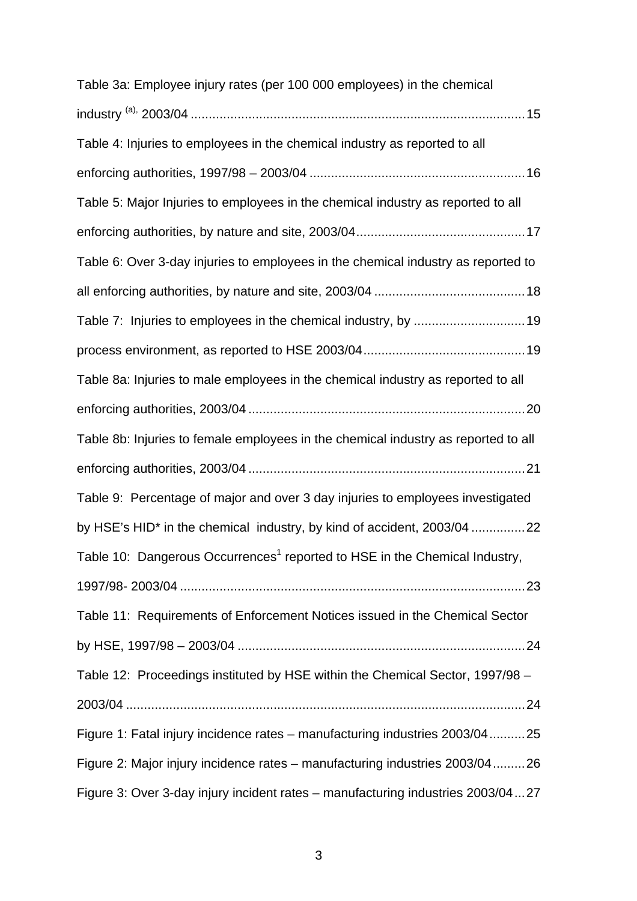| Table 3a: Employee injury rates (per 100 000 employees) in the chemical                |
|----------------------------------------------------------------------------------------|
|                                                                                        |
| Table 4: Injuries to employees in the chemical industry as reported to all             |
|                                                                                        |
| Table 5: Major Injuries to employees in the chemical industry as reported to all       |
|                                                                                        |
| Table 6: Over 3-day injuries to employees in the chemical industry as reported to      |
|                                                                                        |
|                                                                                        |
|                                                                                        |
| Table 8a: Injuries to male employees in the chemical industry as reported to all       |
|                                                                                        |
| Table 8b: Injuries to female employees in the chemical industry as reported to all     |
|                                                                                        |
| Table 9: Percentage of major and over 3 day injuries to employees investigated         |
| by HSE's HID* in the chemical industry, by kind of accident, 2003/04 22                |
| Table 10: Dangerous Occurrences <sup>1</sup> reported to HSE in the Chemical Industry, |
|                                                                                        |
| Table 11: Requirements of Enforcement Notices issued in the Chemical Sector            |
|                                                                                        |
| Table 12: Proceedings instituted by HSE within the Chemical Sector, 1997/98 -          |
|                                                                                        |
| Figure 1: Fatal injury incidence rates – manufacturing industries 2003/0425            |
| Figure 2: Major injury incidence rates – manufacturing industries 2003/0426            |
| Figure 3: Over 3-day injury incident rates - manufacturing industries 2003/0427        |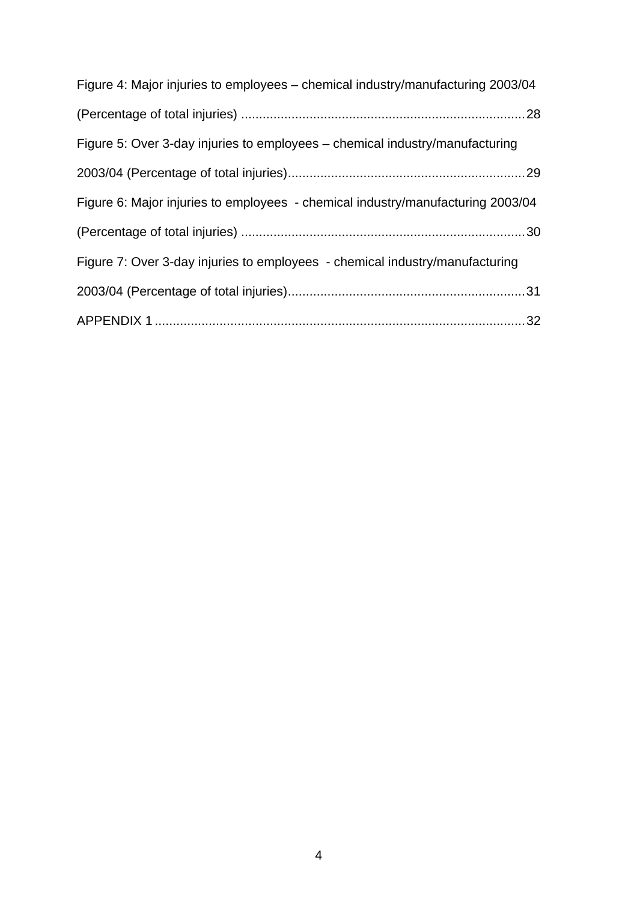| Figure 4: Major injuries to employees – chemical industry/manufacturing 2003/04 |
|---------------------------------------------------------------------------------|
|                                                                                 |
| Figure 5: Over 3-day injuries to employees – chemical industry/manufacturing    |
|                                                                                 |
| Figure 6: Major injuries to employees - chemical industry/manufacturing 2003/04 |
|                                                                                 |
| Figure 7: Over 3-day injuries to employees - chemical industry/manufacturing    |
|                                                                                 |
|                                                                                 |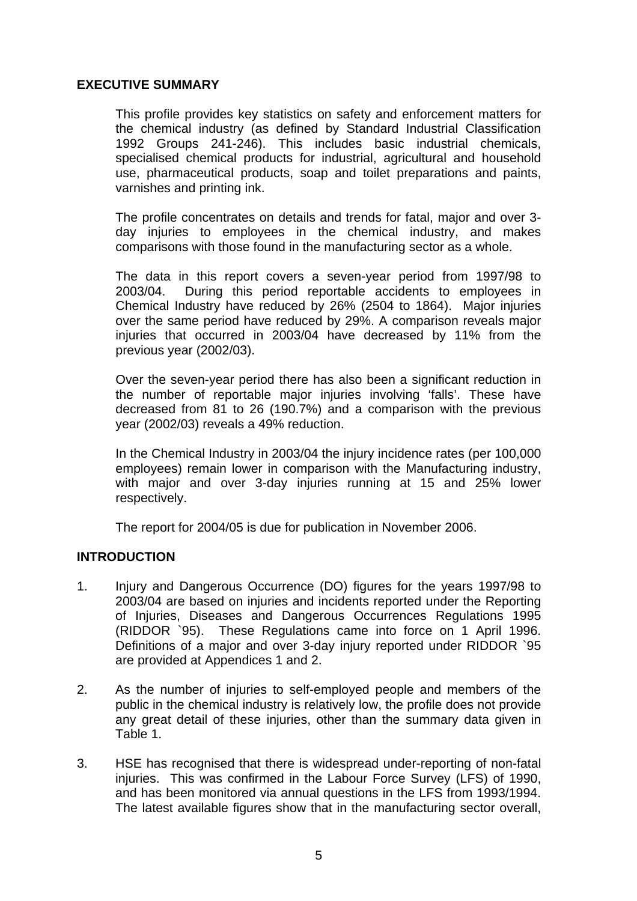#### <span id="page-4-0"></span>**EXECUTIVE SUMMARY**

This profile provides key statistics on safety and enforcement matters for the chemical industry (as defined by Standard Industrial Classification 1992 Groups 241-246). This includes basic industrial chemicals, specialised chemical products for industrial, agricultural and household use, pharmaceutical products, soap and toilet preparations and paints, varnishes and printing ink.

The profile concentrates on details and trends for fatal, major and over 3 day injuries to employees in the chemical industry, and makes comparisons with those found in the manufacturing sector as a whole.

The data in this report covers a seven-year period from 1997/98 to 2003/04. During this period reportable accidents to employees in Chemical Industry have reduced by 26% (2504 to 1864). Major injuries over the same period have reduced by 29%. A comparison reveals major injuries that occurred in 2003/04 have decreased by 11% from the previous year (2002/03).

Over the seven-year period there has also been a significant reduction in the number of reportable major injuries involving 'falls'. These have decreased from 81 to 26 (190.7%) and a comparison with the previous year (2002/03) reveals a 49% reduction.

In the Chemical Industry in 2003/04 the injury incidence rates (per 100,000 employees) remain lower in comparison with the Manufacturing industry, with major and over 3-day injuries running at 15 and 25% lower respectively.

The report for 2004/05 is due for publication in November 2006.

### **INTRODUCTION**

- 1. Injury and Dangerous Occurrence (DO) figures for the years 1997/98 to 2003/04 are based on injuries and incidents reported under the Reporting of Injuries, Diseases and Dangerous Occurrences Regulations 1995 (RIDDOR `95). These Regulations came into force on 1 April 1996. Definitions of a major and over 3-day injury reported under RIDDOR `95 are provided at Appendices 1 and 2.
- 2. As the number of injuries to self-employed people and members of the public in the chemical industry is relatively low, the profile does not provide any great detail of these injuries, other than the summary data given in Table 1.
- 3. HSE has recognised that there is widespread under-reporting of non-fatal injuries. This was confirmed in the Labour Force Survey (LFS) of 1990, and has been monitored via annual questions in the LFS from 1993/1994. The latest available figures show that in the manufacturing sector overall,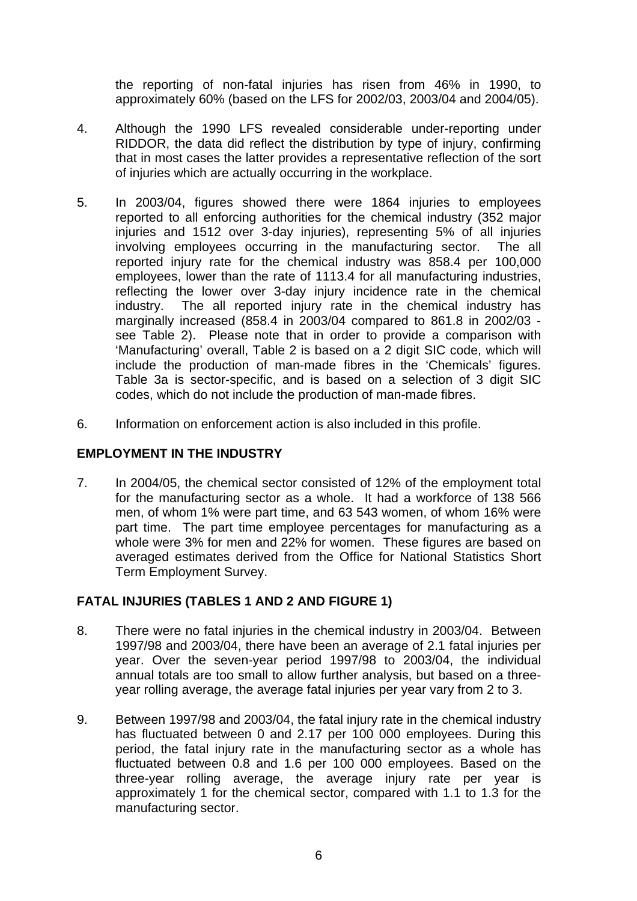<span id="page-5-0"></span>the reporting of non-fatal injuries has risen from 46% in 1990, to approximately 60% (based on the LFS for 2002/03, 2003/04 and 2004/05).

- 4. Although the 1990 LFS revealed considerable under-reporting under RIDDOR, the data did reflect the distribution by type of injury, confirming that in most cases the latter provides a representative reflection of the sort of injuries which are actually occurring in the workplace.
- 5. In 2003/04, figures showed there were 1864 injuries to employees reported to all enforcing authorities for the chemical industry (352 major injuries and 1512 over 3-day injuries), representing 5% of all injuries involving employees occurring in the manufacturing sector. The all reported injury rate for the chemical industry was 858.4 per 100,000 employees, lower than the rate of 1113.4 for all manufacturing industries, reflecting the lower over 3-day injury incidence rate in the chemical industry. The all reported injury rate in the chemical industry has marginally increased (858.4 in 2003/04 compared to 861.8 in 2002/03 see Table 2).Please note that in order to provide a comparison with 'Manufacturing' overall, Table 2 is based on a 2 digit SIC code, which will include the production of man-made fibres in the 'Chemicals' figures. Table 3a is sector-specific, and is based on a selection of 3 digit SIC codes, which do not include the production of man-made fibres.
- 6. Information on enforcement action is also included in this profile.

#### **EMPLOYMENT IN THE INDUSTRY**

7. In 2004/05, the chemical sector consisted of 12% of the employment total for the manufacturing sector as a whole. It had a workforce of 138 566 men, of whom 1% were part time, and 63 543 women, of whom 16% were part time. The part time employee percentages for manufacturing as a whole were 3% for men and 22% for women. These figures are based on averaged estimates derived from the Office for National Statistics Short Term Employment Survey.

### **FATAL INJURIES (TABLES 1 AND 2 AND FIGURE 1)**

- 8. There were no fatal injuries in the chemical industry in 2003/04. Between 1997/98 and 2003/04, there have been an average of 2.1 fatal injuries per year. Over the seven-year period 1997/98 to 2003/04, the individual annual totals are too small to allow further analysis, but based on a threeyear rolling average, the average fatal injuries per year vary from 2 to 3.
- 9. Between 1997/98 and 2003/04, the fatal injury rate in the chemical industry has fluctuated between 0 and 2.17 per 100 000 employees. During this period, the fatal injury rate in the manufacturing sector as a whole has fluctuated between 0.8 and 1.6 per 100 000 employees. Based on the three-year rolling average, the average injury rate per year is approximately 1 for the chemical sector, compared with 1.1 to 1.3 for the manufacturing sector.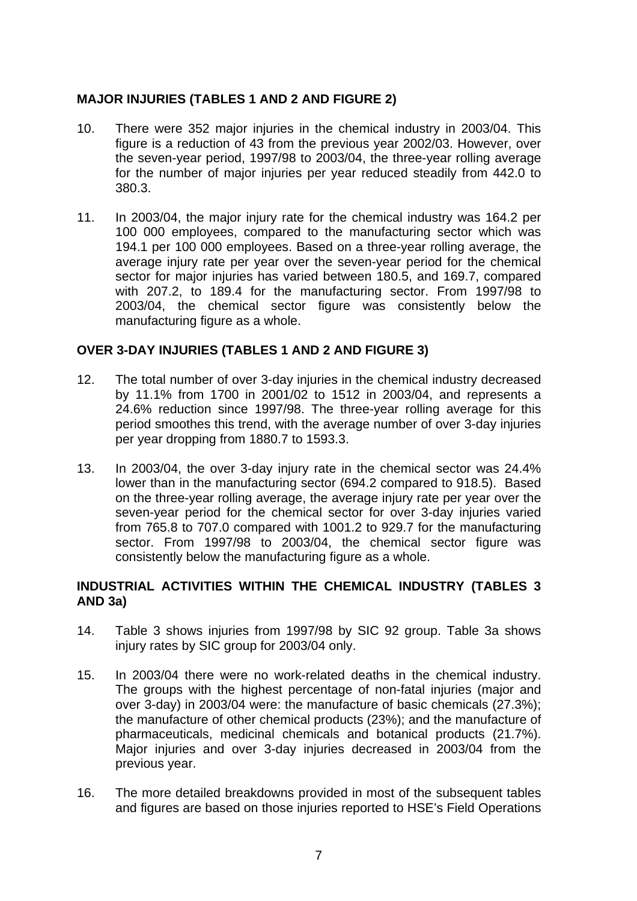#### <span id="page-6-0"></span>**MAJOR INJURIES (TABLES 1 AND 2 AND FIGURE 2)**

- 10. There were 352 major injuries in the chemical industry in 2003/04. This figure is a reduction of 43 from the previous year 2002/03. However, over the seven-year period, 1997/98 to 2003/04, the three-year rolling average for the number of major injuries per year reduced steadily from 442.0 to 380.3.
- 11. In 2003/04, the major injury rate for the chemical industry was 164.2 per 100 000 employees, compared to the manufacturing sector which was 194.1 per 100 000 employees. Based on a three-year rolling average, the average injury rate per year over the seven-year period for the chemical sector for major injuries has varied between 180.5, and 169.7, compared with 207.2, to 189.4 for the manufacturing sector. From 1997/98 to 2003/04, the chemical sector figure was consistently below the manufacturing figure as a whole.

#### **OVER 3-DAY INJURIES (TABLES 1 AND 2 AND FIGURE 3)**

- 12. The total number of over 3-day injuries in the chemical industry decreased by 11.1% from 1700 in 2001/02 to 1512 in 2003/04, and represents a 24.6% reduction since 1997/98. The three-year rolling average for this period smoothes this trend, with the average number of over 3-day injuries per year dropping from 1880.7 to 1593.3.
- 13. In 2003/04, the over 3-day injury rate in the chemical sector was 24.4% lower than in the manufacturing sector (694.2 compared to 918.5). Based on the three-year rolling average, the average injury rate per year over the seven-year period for the chemical sector for over 3-day injuries varied from 765.8 to 707.0 compared with 1001.2 to 929.7 for the manufacturing sector. From 1997/98 to 2003/04, the chemical sector figure was consistently below the manufacturing figure as a whole.

#### **INDUSTRIAL ACTIVITIES WITHIN THE CHEMICAL INDUSTRY (TABLES 3 AND 3a)**

- 14. Table 3 shows injuries from 1997/98 by SIC 92 group. Table 3a shows injury rates by SIC group for 2003/04 only.
- 15. In 2003/04 there were no work-related deaths in the chemical industry. The groups with the highest percentage of non-fatal injuries (major and over 3-day) in 2003/04 were: the manufacture of basic chemicals (27.3%); the manufacture of other chemical products (23%); and the manufacture of pharmaceuticals, medicinal chemicals and botanical products (21.7%). Major injuries and over 3-day injuries decreased in 2003/04 from the previous year.
- 16. The more detailed breakdowns provided in most of the subsequent tables and figures are based on those injuries reported to HSE's Field Operations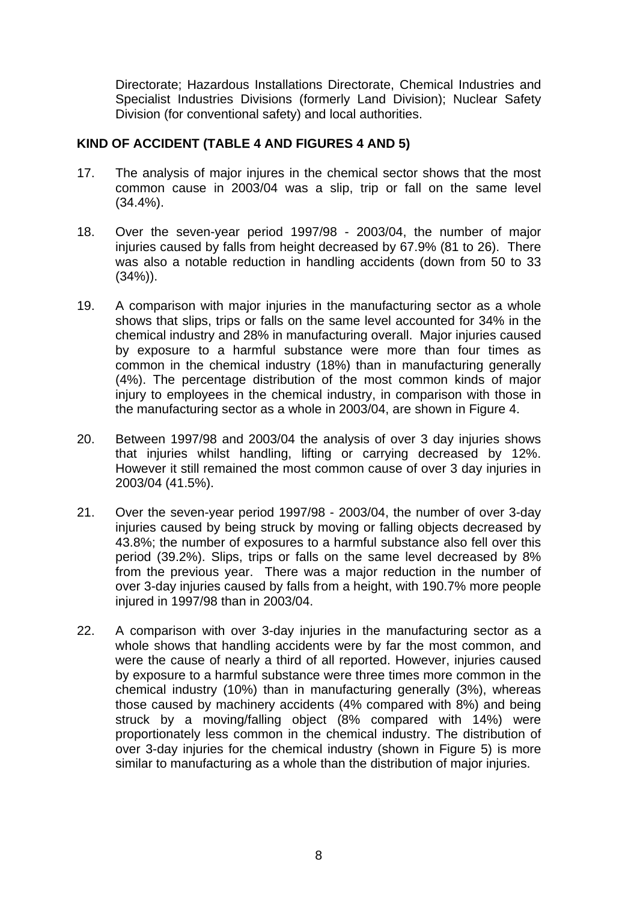<span id="page-7-0"></span>Directorate; Hazardous Installations Directorate, Chemical Industries and Specialist Industries Divisions (formerly Land Division); Nuclear Safety Division (for conventional safety) and local authorities.

#### **KIND OF ACCIDENT (TABLE 4 AND FIGURES 4 AND 5)**

- 17. The analysis of major injures in the chemical sector shows that the most common cause in 2003/04 was a slip, trip or fall on the same level (34.4%).
- 18. Over the seven-year period 1997/98 2003/04, the number of major injuries caused by falls from height decreased by 67.9% (81 to 26). There was also a notable reduction in handling accidents (down from 50 to 33  $(34%)$ ).
- 19. A comparison with major injuries in the manufacturing sector as a whole shows that slips, trips or falls on the same level accounted for 34% in the chemical industry and 28% in manufacturing overall. Major injuries caused by exposure to a harmful substance were more than four times as common in the chemical industry (18%) than in manufacturing generally (4%). The percentage distribution of the most common kinds of major injury to employees in the chemical industry, in comparison with those in the manufacturing sector as a whole in 2003/04, are shown in Figure 4.
- 20. Between 1997/98 and 2003/04 the analysis of over 3 day injuries shows that injuries whilst handling, lifting or carrying decreased by 12%. However it still remained the most common cause of over 3 day injuries in 2003/04 (41.5%).
- 21. Over the seven-year period 1997/98 2003/04, the number of over 3-day injuries caused by being struck by moving or falling objects decreased by 43.8%; the number of exposures to a harmful substance also fell over this period (39.2%). Slips, trips or falls on the same level decreased by 8% from the previous year. There was a major reduction in the number of over 3-day injuries caused by falls from a height, with 190.7% more people injured in 1997/98 than in 2003/04.
- 22. A comparison with over 3-day injuries in the manufacturing sector as a whole shows that handling accidents were by far the most common, and were the cause of nearly a third of all reported. However, injuries caused by exposure to a harmful substance were three times more common in the chemical industry (10%) than in manufacturing generally (3%), whereas those caused by machinery accidents (4% compared with 8%) and being struck by a moving/falling object (8% compared with 14%) were proportionately less common in the chemical industry. The distribution of over 3-day injuries for the chemical industry (shown in Figure 5) is more similar to manufacturing as a whole than the distribution of major injuries.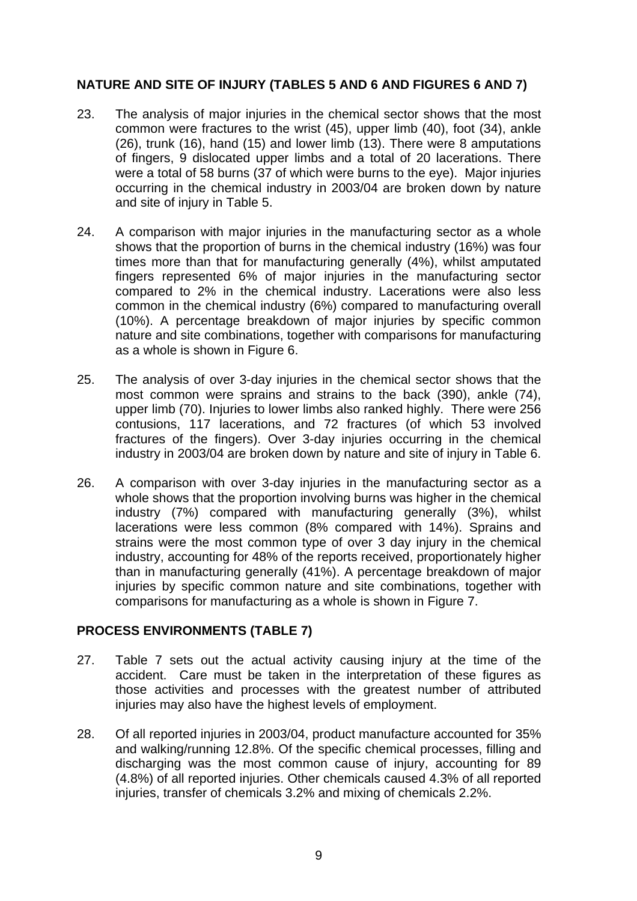### <span id="page-8-0"></span>**NATURE AND SITE OF INJURY (TABLES 5 AND 6 AND FIGURES 6 AND 7)**

- 23. The analysis of major injuries in the chemical sector shows that the most common were fractures to the wrist (45), upper limb (40), foot (34), ankle (26), trunk (16), hand (15) and lower limb (13). There were 8 amputations of fingers, 9 dislocated upper limbs and a total of 20 lacerations. There were a total of 58 burns (37 of which were burns to the eve). Major injuries occurring in the chemical industry in 2003/04 are broken down by nature and site of injury in Table 5.
- 24. A comparison with major injuries in the manufacturing sector as a whole shows that the proportion of burns in the chemical industry (16%) was four times more than that for manufacturing generally (4%), whilst amputated fingers represented 6% of major injuries in the manufacturing sector compared to 2% in the chemical industry. Lacerations were also less common in the chemical industry (6%) compared to manufacturing overall (10%). A percentage breakdown of major injuries by specific common nature and site combinations, together with comparisons for manufacturing as a whole is shown in Figure 6.
- 25. The analysis of over 3-day injuries in the chemical sector shows that the most common were sprains and strains to the back (390), ankle (74), upper limb (70). Injuries to lower limbs also ranked highly. There were 256 contusions, 117 lacerations, and 72 fractures (of which 53 involved fractures of the fingers). Over 3-day injuries occurring in the chemical industry in 2003/04 are broken down by nature and site of injury in Table 6.
- 26. A comparison with over 3-day injuries in the manufacturing sector as a whole shows that the proportion involving burns was higher in the chemical industry (7%) compared with manufacturing generally (3%), whilst lacerations were less common (8% compared with 14%). Sprains and strains were the most common type of over 3 day injury in the chemical industry, accounting for 48% of the reports received, proportionately higher than in manufacturing generally (41%). A percentage breakdown of major injuries by specific common nature and site combinations, together with comparisons for manufacturing as a whole is shown in Figure 7.

### **PROCESS ENVIRONMENTS (TABLE 7)**

- 27. Table 7 sets out the actual activity causing injury at the time of the accident. Care must be taken in the interpretation of these figures as those activities and processes with the greatest number of attributed injuries may also have the highest levels of employment.
- 28. Of all reported injuries in 2003/04, product manufacture accounted for 35% and walking/running 12.8%. Of the specific chemical processes, filling and discharging was the most common cause of injury, accounting for 89 (4.8%) of all reported injuries. Other chemicals caused 4.3% of all reported injuries, transfer of chemicals 3.2% and mixing of chemicals 2.2%.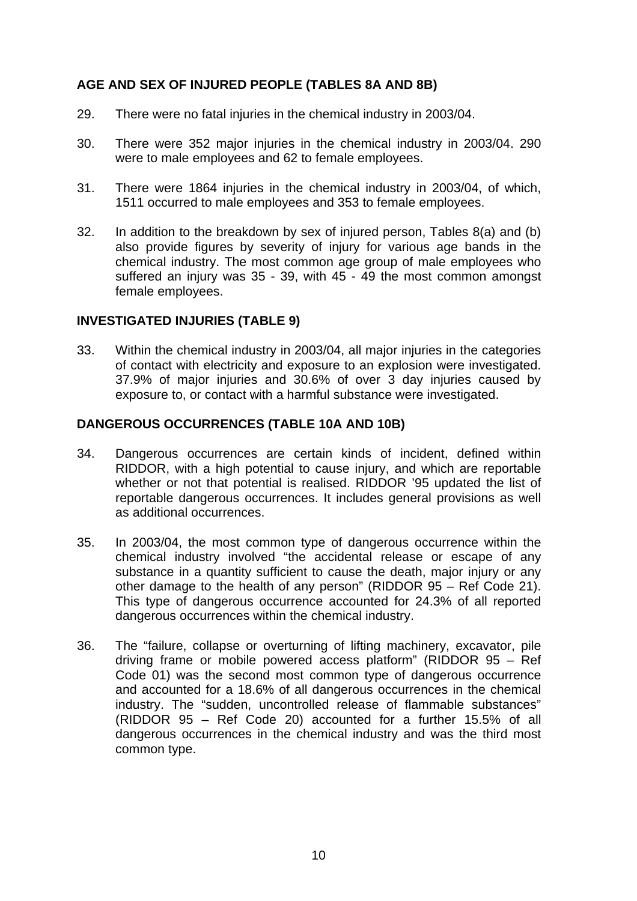#### <span id="page-9-0"></span>**AGE AND SEX OF INJURED PEOPLE (TABLES 8A AND 8B)**

- 29. There were no fatal injuries in the chemical industry in 2003/04.
- 30. There were 352 major injuries in the chemical industry in 2003/04. 290 were to male employees and 62 to female employees.
- 31. There were 1864 injuries in the chemical industry in 2003/04, of which, 1511 occurred to male employees and 353 to female employees.
- 32. In addition to the breakdown by sex of injured person, Tables 8(a) and (b) also provide figures by severity of injury for various age bands in the chemical industry. The most common age group of male employees who suffered an injury was 35 - 39, with 45 - 49 the most common amongst female employees.

#### **INVESTIGATED INJURIES (TABLE 9)**

33. Within the chemical industry in 2003/04, all major injuries in the categories of contact with electricity and exposure to an explosion were investigated. 37.9% of major injuries and 30.6% of over 3 day injuries caused by exposure to, or contact with a harmful substance were investigated.

#### **DANGEROUS OCCURRENCES (TABLE 10A AND 10B)**

- 34. Dangerous occurrences are certain kinds of incident, defined within RIDDOR, with a high potential to cause injury, and which are reportable whether or not that potential is realised. RIDDOR '95 updated the list of reportable dangerous occurrences. It includes general provisions as well as additional occurrences.
- 35. In 2003/04, the most common type of dangerous occurrence within the chemical industry involved "the accidental release or escape of any substance in a quantity sufficient to cause the death, major injury or any other damage to the health of any person" (RIDDOR 95 – Ref Code 21). This type of dangerous occurrence accounted for 24.3% of all reported dangerous occurrences within the chemical industry.
- 36. The "failure, collapse or overturning of lifting machinery, excavator, pile driving frame or mobile powered access platform" (RIDDOR 95 – Ref Code 01) was the second most common type of dangerous occurrence and accounted for a 18.6% of all dangerous occurrences in the chemical industry. The "sudden, uncontrolled release of flammable substances" (RIDDOR 95 – Ref Code 20) accounted for a further 15.5% of all dangerous occurrences in the chemical industry and was the third most common type.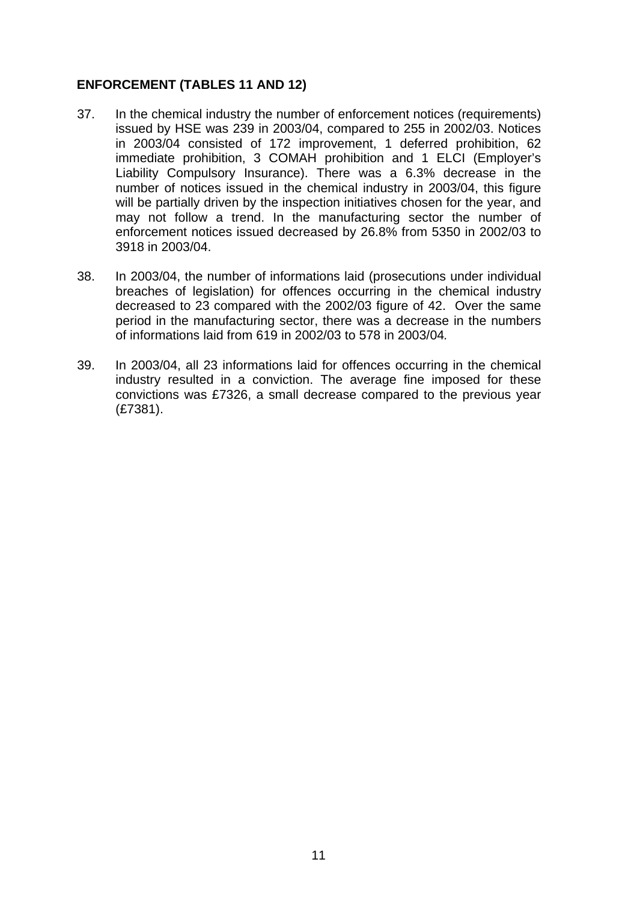#### <span id="page-10-0"></span>**ENFORCEMENT (TABLES 11 AND 12)**

- 37. In the chemical industry the number of enforcement notices (requirements) issued by HSE was 239 in 2003/04, compared to 255 in 2002/03. Notices in 2003/04 consisted of 172 improvement, 1 deferred prohibition, 62 immediate prohibition, 3 COMAH prohibition and 1 ELCI (Employer's Liability Compulsory Insurance). There was a 6.3% decrease in the number of notices issued in the chemical industry in 2003/04, this figure will be partially driven by the inspection initiatives chosen for the year, and may not follow a trend. In the manufacturing sector the number of enforcement notices issued decreased by 26.8% from 5350 in 2002/03 to 3918 in 2003/04.
- 38. In 2003/04, the number of informations laid (prosecutions under individual breaches of legislation) for offences occurring in the chemical industry decreased to 23 compared with the 2002/03 figure of 42. Over the same period in the manufacturing sector, there was a decrease in the numbers of informations laid from 619 in 2002/03 to 578 in 2003/04*.*
- 39. In 2003/04, all 23 informations laid for offences occurring in the chemical industry resulted in a conviction. The average fine imposed for these convictions was £7326, a small decrease compared to the previous year (£7381).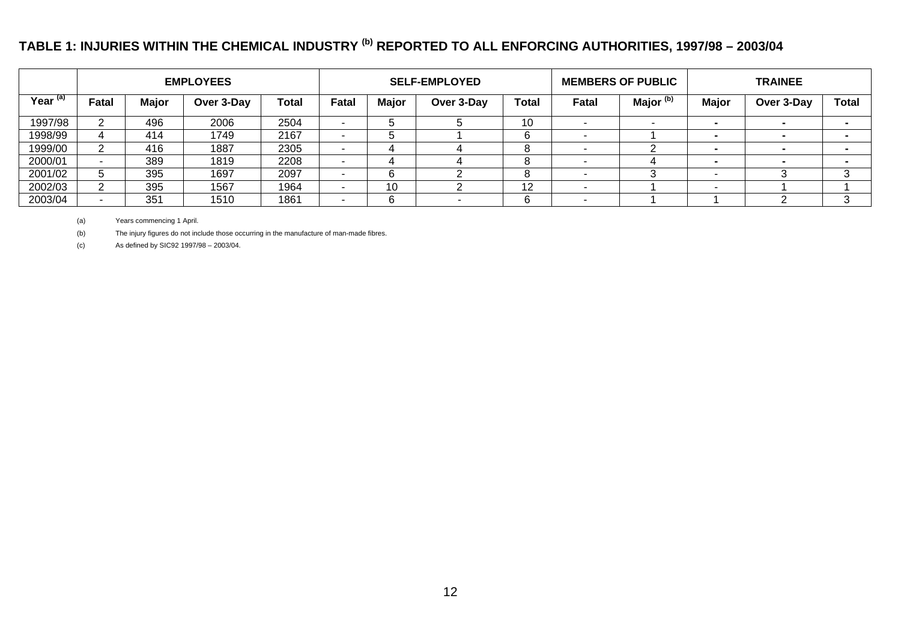## **TABLE 1: INJURIES WITHIN THE CHEMICAL INDUSTRY (b) REPORTED TO ALL ENFORCING AUTHORITIES, 1997/98 – 2003/04**

|                     |       |              | <b>EMPLOYEES</b> |       |                          |              | <b>SELF-EMPLOYED</b> |       |       | <b>MEMBERS OF PUBLIC</b> |              | <b>TRAINEE</b> |              |  |  |  |  |
|---------------------|-------|--------------|------------------|-------|--------------------------|--------------|----------------------|-------|-------|--------------------------|--------------|----------------|--------------|--|--|--|--|
| Year <sup>(a)</sup> | Fatal | <b>Major</b> | Over 3-Day       | Total | Fatal                    | <b>Major</b> | Over 3-Day           | Total | Fatal | Major <sup>(b)</sup>     | <b>Major</b> | Over 3-Day     | <b>Total</b> |  |  |  |  |
| 1997/98             |       | 496          | 2006             | 2504  | $\overline{\phantom{a}}$ |              |                      | 10    |       |                          |              |                |              |  |  |  |  |
| 1998/99             |       | 414          | 1749             | 2167  | $\overline{\phantom{a}}$ |              |                      | h     |       |                          |              |                |              |  |  |  |  |
| 1999/00             |       | 416          | 1887             | 2305  | $\overline{\phantom{a}}$ |              |                      | 8     |       |                          |              |                |              |  |  |  |  |
| 2000/01             |       | 389          | 1819             | 2208  | $\overline{\phantom{a}}$ |              |                      | 8     |       |                          |              |                |              |  |  |  |  |
| 2001/02             |       | 395          | 1697             | 2097  | $\overline{\phantom{a}}$ | 6            |                      | 8     |       |                          |              |                |              |  |  |  |  |
| 2002/03             |       | 395          | 1567             | 1964  | $\overline{\phantom{a}}$ | 10           |                      | 12    |       |                          |              |                |              |  |  |  |  |
| 2003/04             |       | 351          | 1510             | 1861  | $\overline{\phantom{a}}$ | 6            |                      | 6     |       |                          |              |                |              |  |  |  |  |

(a) Years commencing 1 April.

(b) The injury figures do not include those occurring in the manufacture of man-made fibres.

<span id="page-11-0"></span>(c) As defined by SIC92 1997/98 – 2003/04.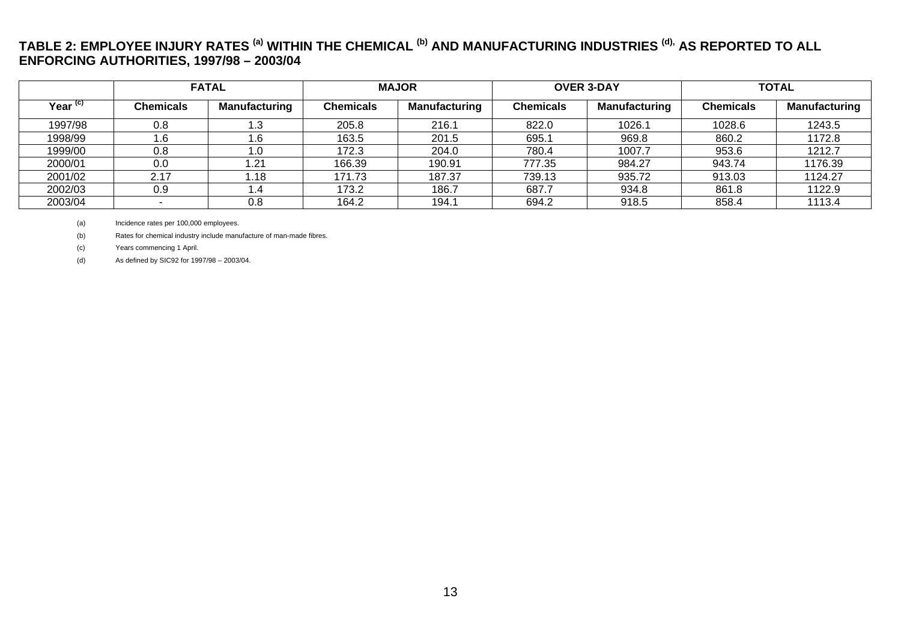#### **TABLE 2: EMPLOYEE INJURY RATES (a) WITHIN THE CHEMICAL (b) AND MANUFACTURING INDUSTRIES (d), AS REPORTED TO ALL ENFORCING AUTHORITIES, 1997/98 – 2003/04**

|                     |                  | <b>FATAL</b>         |                  | <b>MAJOR</b>  |                  | <b>OVER 3-DAY</b>    | <b>TOTAL</b>     |                      |  |  |
|---------------------|------------------|----------------------|------------------|---------------|------------------|----------------------|------------------|----------------------|--|--|
| Year <sup>(c)</sup> | <b>Chemicals</b> | <b>Manufacturing</b> | <b>Chemicals</b> | Manufacturing | <b>Chemicals</b> | <b>Manufacturing</b> | <b>Chemicals</b> | <b>Manufacturing</b> |  |  |
| 1997/98             | 0.8              | l .3                 | 205.8            | 216.1         | 822.0            | 1026.1               | 1028.6           | 1243.5               |  |  |
| 1998/99             | 1.6              | 1.6                  | 163.5            | 201.5         | 695.1            | 969.8                | 860.2            | 1172.8               |  |  |
| 1999/00             | 0.8              | 1.0                  | 172.3            | 204.0         | 780.4            | 1007.7               | 953.6            | 1212.7               |  |  |
| 2000/01             | 0.0              | .21                  | 166.39           | 190.91        | 777.35           | 984.27               | 943.74           | 1176.39              |  |  |
| 2001/02             | 2.17             | l.18                 | 171.73           | 187.37        | 739.13           | 935.72               | 913.03           | 1124.27              |  |  |
| 2002/03             | 0.9              | . 4.                 | 173.2            | 186.7         | 687.7            | 934.8                | 861.8            | 1122.9               |  |  |
| 2003/04             |                  | 0.8                  | 164.2            | 194.1         | 694.2            | 918.5                | 858.4            | 1113.4               |  |  |

(a) Incidence rates per 100,000 employees.

(b) Rates for chemical industry include manufacture of man-made fibres.

(c) Years commencing 1 April.

<span id="page-12-0"></span>(d) As defined by SIC92 for 1997/98 – 2003/04.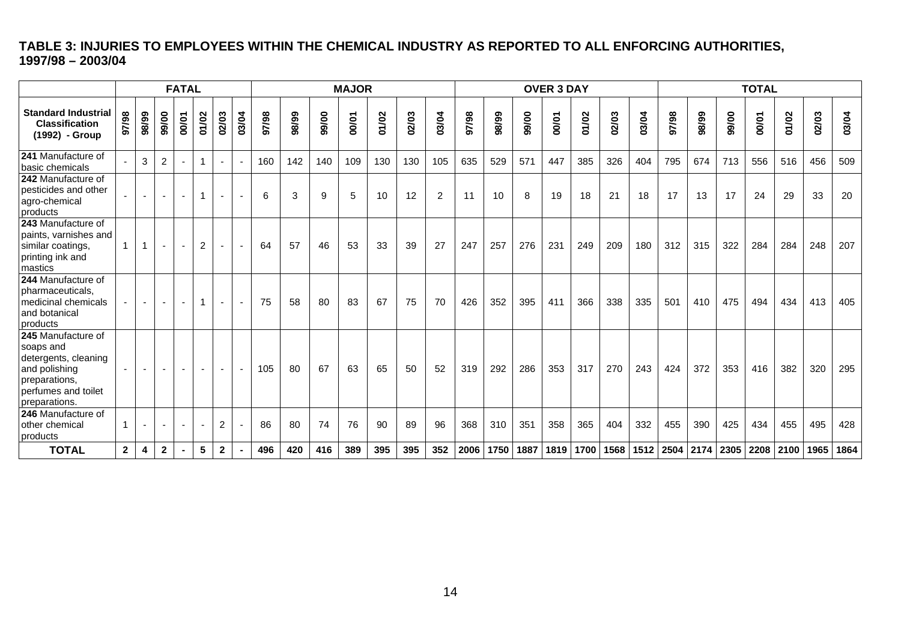### **TABLE 3: INJURIES TO EMPLOYEES WITHIN THE CHEMICAL INDUSTRY AS REPORTED TO ALL ENFORCING AUTHORITIES, 1997/98 – 2003/04**

<span id="page-13-0"></span>

|                                                                                                                                                         |              |       |                          | <b>FATAL</b> |              |                          |                          |       |       |       | <b>MAJOR</b> |       |       |       |       |       |           | <b>OVER 3 DAY</b> |       |                |       |       |                           |       | <b>TOTAL</b> |                |       |       |
|---------------------------------------------------------------------------------------------------------------------------------------------------------|--------------|-------|--------------------------|--------------|--------------|--------------------------|--------------------------|-------|-------|-------|--------------|-------|-------|-------|-------|-------|-----------|-------------------|-------|----------------|-------|-------|---------------------------|-------|--------------|----------------|-------|-------|
| <b>Standard Industrial</b><br><b>Classification</b><br>(1992) - Group                                                                                   | 86/26        | 88/99 | 99/00                    | 00/01        | 01/02        | 02/03                    | 03/04                    | 86/26 | 88/99 | 99/00 | 00/01        | 01/02 | 02/03 | 03/04 | 97/98 | 98/99 | 99/00     | 00/01             | 01/02 | 02/03          | 03/04 | 97/98 | 98/99                     | 99/00 | 00/01        | 01/02          | 02/03 | 03/04 |
| 241 Manufacture of<br>Ibasic chemicals                                                                                                                  |              | 3     | $\overline{2}$           |              | $\mathbf{1}$ |                          |                          | 160   | 142   | 140   | 109          | 130   | 130   | 105   | 635   | 529   | 571       | 447               | 385   | 326            | 404   | 795   | 674                       | 713   | 556          | 516            | 456   | 509   |
| 242 Manufacture of<br>pesticides and other<br>agro-chemical<br>products                                                                                 |              |       |                          |              | $\mathbf{1}$ | $\blacksquare$           | $\blacksquare$           | 6     | 3     | 9     | 5            | 10    | 12    | 2     | 11    | 10    | 8         | 19                | 18    | 21             | 18    | 17    | 13                        | 17    | 24           | 29             | 33    | 20    |
| 243 Manufacture of<br>paints, varnishes and<br>similar coatings,<br>printing ink and<br>Imastics                                                        | $\mathbf{1}$ |       | $\overline{\phantom{a}}$ |              | 2            | $\overline{\phantom{a}}$ | $\overline{\phantom{a}}$ | 64    | 57    | 46    | 53           | 33    | 39    | 27    | 247   | 257   | 276       | 231               | 249   | 209            | 180   | 312   | 315                       | 322   | 284          | 284            | 248   | 207   |
| 244 Manufacture of<br>pharmaceuticals,<br>medicinal chemicals<br>and botanical<br>products                                                              |              |       |                          |              | $\mathbf{1}$ |                          |                          | 75    | 58    | 80    | 83           | 67    | 75    | 70    | 426   | 352   | 395       | 411               | 366   | 338            | 335   | 501   | 410                       | 475   | 494          | 434            | 413   | 405   |
| 245 Manufacture of<br>soaps and<br>detergents, cleaning<br>and polishing<br>preparations,<br>perfumes and toilet<br>preparations.<br>246 Manufacture of |              |       | $\sim$                   |              | $\sim$       | $\sim$                   |                          | 105   | 80    | 67    | 63           | 65    | 50    | 52    | 319   | 292   | 286       | 353               | 317   | 270            | 243   | 424   | 372                       | 353   | 416          | 382            | 320   | 295   |
| other chemical<br>products                                                                                                                              | $\mathbf{1}$ |       |                          |              |              | $\overline{2}$           |                          | 86    | 80    | 74    | 76           | 90    | 89    | 96    | 368   | 310   | 351       | 358               | 365   | 404            | 332   | 455   | 390                       | 425   | 434          | 455            | 495   | 428   |
| <b>TOTAL</b>                                                                                                                                            | $2^{\circ}$  | 4     | $\mathbf{2}$             |              | 5            | $\mathbf{2}$             |                          | 496   | 420   | 416   | 389          | 395   | 395   | 352   | 2006  |       | 1750 1887 |                   |       | 1819 1700 1568 |       |       | 1512   2504   2174   2305 |       |              | 2208 2100 1965 |       | 1864  |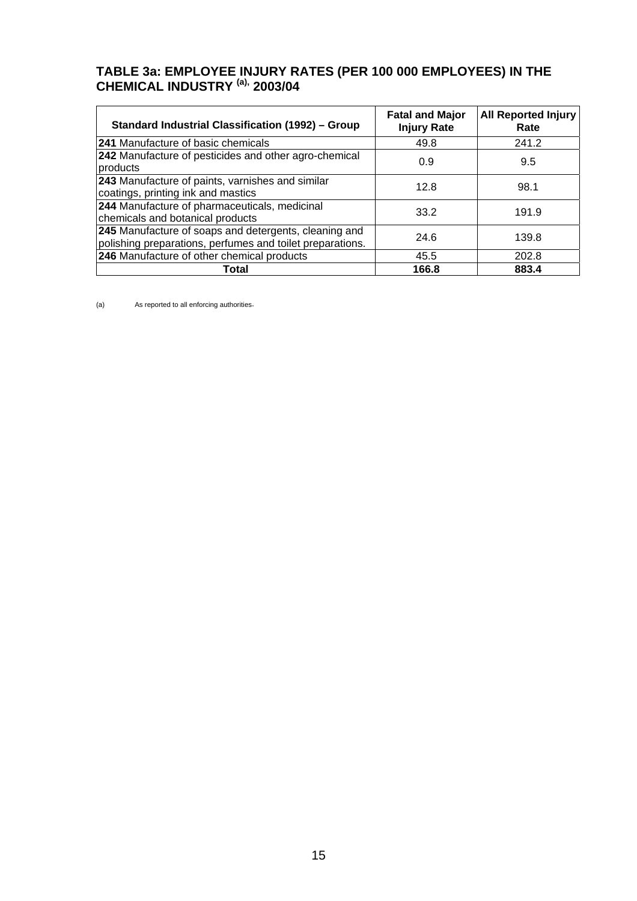#### <span id="page-14-0"></span>**TABLE 3a: EMPLOYEE INJURY RATES (PER 100 000 EMPLOYEES) IN THE CHEMICAL INDUSTRY (a), 2003/04**

| <b>Standard Industrial Classification (1992) - Group</b>                                                           | <b>Fatal and Major</b><br><b>Injury Rate</b> | <b>All Reported Injury</b><br>Rate |
|--------------------------------------------------------------------------------------------------------------------|----------------------------------------------|------------------------------------|
| <b>241 Manufacture of basic chemicals</b>                                                                          | 49.8                                         | 241.2                              |
| 242 Manufacture of pesticides and other agro-chemical<br>products                                                  | 0.9                                          | 9.5                                |
| 243 Manufacture of paints, varnishes and similar<br>coatings, printing ink and mastics                             | 12.8                                         | 98.1                               |
| 244 Manufacture of pharmaceuticals, medicinal<br>chemicals and botanical products                                  | 33.2                                         | 191.9                              |
| 245 Manufacture of soaps and detergents, cleaning and<br>polishing preparations, perfumes and toilet preparations. | 24.6                                         | 139.8                              |
| 246 Manufacture of other chemical products                                                                         | 45.5                                         | 202.8                              |
| Total                                                                                                              | 166.8                                        | 883.4                              |

(a) As reported to all enforcing authorities.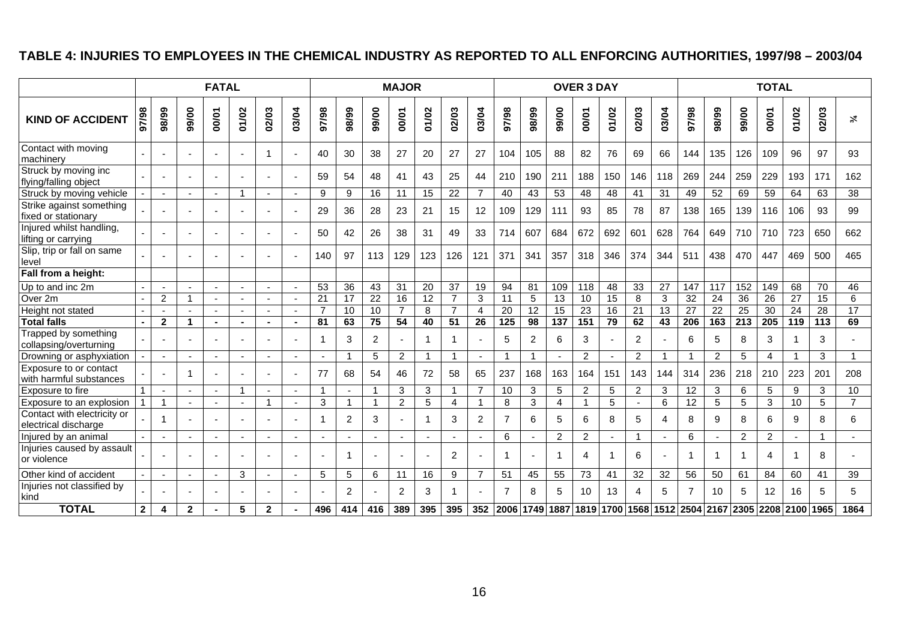### **TABLE 4: INJURIES TO EMPLOYEES IN THE CHEMICAL INDUSTRY AS REPORTED TO ALL ENFORCING AUTHORITIES, 1997/98 – 2003/04**

<span id="page-15-0"></span>

|                                                     |              |                          |                | <b>FATAL</b>             |                          |                |                          |       |        |                 | <b>MAJOR</b>    |                 |                 |                          |                 |                 |                                                             | <b>OVER 3 DAY</b> |                 |                |                 |                 |                 |                  | <b>TOTAL</b>    |                 |                 |                      |
|-----------------------------------------------------|--------------|--------------------------|----------------|--------------------------|--------------------------|----------------|--------------------------|-------|--------|-----------------|-----------------|-----------------|-----------------|--------------------------|-----------------|-----------------|-------------------------------------------------------------|-------------------|-----------------|----------------|-----------------|-----------------|-----------------|------------------|-----------------|-----------------|-----------------|----------------------|
| <b>KIND OF ACCIDENT</b>                             | 97/98        | 98/99                    | 99/00          | 00/01                    | 01/02                    | 02/03          | 03/04                    | 86/16 | 98/99  | 99/00           | 00/01           | 01/02           | 02/03           | 03/04                    | 86/26           | 98/99           | 99/00                                                       | 00/01             | 01/02           | 02/03          | 03/04           | 97/98           | 98/99           | 99/00            | 00/01           | 01/02           | 02/03           | $\frac{2}{\sqrt{6}}$ |
| Contact with moving<br>machinery                    |              |                          |                | $\blacksquare$           | $\blacksquare$           | -1             | ٠                        | 40    | 30     | 38              | 27              | 20              | 27              | 27                       | 104             | 105             | 88                                                          | 82                | 76              | 69             | 66              | 144             | 135             | 126              | 109             | 96              | 97              | 93                   |
| Struck by moving inc<br>flying/falling object       |              |                          |                | $\overline{\phantom{a}}$ |                          |                | ÷.                       | 59    | 54     | 48              | 41              | 43              | 25              | 44                       | 210             | 190             | 211                                                         | 188               | 150             | 146            | 118             | 269             | 244             | 259              | 229             | 193             | 171             | 162                  |
| Struck by moving vehicle                            |              |                          |                |                          | $\overline{\phantom{a}}$ |                |                          | 9     | 9      | $\overline{16}$ | 11              | 15              | 22              | $\overline{7}$           | 40              | 43              | $\overline{53}$                                             | 48                | 48              | 41             | 31              | 49              | 52              | 69               | 59              | 64              | 63              | $\overline{38}$      |
| Strike against something<br>fixed or stationary     |              |                          |                |                          |                          |                | $\blacksquare$           | 29    | 36     | 28              | 23              | 21              | 15              | 12                       | 109             | 129             | 111                                                         | 93                | 85              | 78             | 87              | 138             | 165             | 139              | 116             | 106             | 93              | 99                   |
| Injured whilst handling,<br>lifting or carrying     |              |                          |                | $\overline{\phantom{a}}$ |                          |                | ÷.                       | 50    | 42     | 26              | 38              | 31              | 49              | 33                       | 714             | 607             | 684                                                         | 672               | 692             | 601            | 628             | 764             | 649             | 710              | 710             | 723             | 650             | 662                  |
| Slip, trip or fall on same<br>level                 |              |                          |                |                          |                          |                |                          | 140   | 97     | 113             | 129             | 123             | 126             | 121                      | 371             | 341             | 357                                                         | 318               | 346             | 374            | 344             | 511             | 438             | 470              | 447             | 469             | 500             | 465                  |
| Fall from a height:                                 |              |                          |                |                          |                          |                |                          |       |        |                 |                 |                 |                 |                          |                 |                 |                                                             |                   |                 |                |                 |                 |                 |                  |                 |                 |                 |                      |
| Up to and inc 2m                                    |              |                          |                | $\sim$                   |                          |                | $\blacksquare$           | 53    | 36     | 43              | 31              | 20              | 37              | 19                       | 94              | 81              | 109                                                         | 118               | 48              | 33             | 27              | 147             | 117             | 152              | 149             | 68              | 70              | 46                   |
| Over 2m                                             |              | $\overline{2}$           |                | $\mathbf{r}$             | ÷                        | $\sim$         | $\blacksquare$           | 21    | 17     | 22              | 16              | $\overline{12}$ | $\overline{7}$  | 3                        | 11              | 5               | 13                                                          | 10                | $\overline{15}$ | 8              | 3               | 32              | 24              | $\overline{36}$  | $\overline{26}$ | 27              | 15              | 6                    |
| Height not stated                                   |              |                          |                | $\overline{a}$           |                          | $\sim$         | $\blacksquare$           |       | 10     | 10              | $\overline{7}$  | 8               | $\overline{7}$  | $\overline{4}$           | 20              | $\overline{12}$ | 15                                                          | $\overline{23}$   | 16              | 21             | $\overline{13}$ | $\overline{27}$ | $\overline{22}$ | $\overline{25}$  | 30              | $\overline{24}$ | 28              | 17                   |
| <b>Total falls</b>                                  |              | $\mathbf{2}$             | 1              | $\blacksquare$           |                          |                | $\blacksquare$           | 81    | 63     | 75              | $\overline{54}$ | 40              | $\overline{51}$ | 26                       | $\frac{1}{125}$ | $\overline{98}$ | $\overline{137}$                                            | 151               | $\overline{79}$ | 62             | $\overline{43}$ | 206             | $\frac{163}{ }$ | $\overline{213}$ | 205             | 119             | $\frac{1}{113}$ | 69                   |
| Trapped by something<br>collapsing/overturning      |              |                          |                | $\overline{\phantom{a}}$ |                          |                |                          | 1     | 3      | 2               |                 | 1               | 1               | $\overline{a}$           | 5               | 2               | 6                                                           | 3                 |                 | $\overline{2}$ |                 | 6               | 5               | 8                | 3               |                 | 3               |                      |
| Drowning or asphyxiation                            |              | $\blacksquare$           |                | $\overline{a}$           |                          |                |                          |       |        | 5               | 2               |                 | 1               | $\sim$                   | 1               | 1               |                                                             | 2                 |                 | $\overline{c}$ |                 |                 | 2               | 5                | 4               |                 | 3               | 1                    |
| Exposure to or contact<br>with harmful substances   |              |                          |                | $\sim$                   |                          |                | $\overline{\phantom{a}}$ | 77    | 68     | 54              | 46              | 72              | 58              | 65                       | 237             | 168             | 163                                                         | 164               | 151             | 143            | 144             | 314             | 236             | 218              | 210             | 223             | 201             | 208                  |
| Exposure to fire                                    |              |                          |                | $\sim$                   | -1                       |                | $\blacksquare$           |       |        |                 | 3               | 3               | $\mathbf 1$     | $\overline{7}$           | 10              | 3               | 5                                                           | 2                 | 5               | 2              | 3               | 12              | 3               | 6                | 5               | 9               | 3               | 10                   |
| Exposure to an explosion                            |              |                          |                |                          |                          | $\overline{ }$ | $\blacksquare$           | 3     |        |                 | $\overline{c}$  | 5               | 4               |                          | 8               | 3               | $\overline{4}$                                              |                   | 5               | $\blacksquare$ | 6               | 12              | 5               | 5                | 3               | 10              | 5               | $\overline{7}$       |
| Contact with electricity or<br>electrical discharge |              |                          |                |                          |                          |                |                          |       | 2      | 3               |                 | 1               | 3               | 2                        |                 | 6               | 5                                                           | 6                 | 8               | 5              | 4               | 8               | 9               | 8                | 6               | 9               | 8               | 6                    |
| Injured by an animal                                |              |                          | $\blacksquare$ | $\overline{\phantom{a}}$ |                          |                | $\sim$                   |       | $\sim$ | $\sim$          |                 |                 | $\sim$          | $\overline{\phantom{a}}$ | 6               | $\blacksquare$  | 2                                                           | 2                 | $\sim$          | -1             |                 | 6               | $\sim$          | 2                | 2               |                 |                 | $\sim$               |
| Injuries caused by assault<br>or violence           |              |                          |                | $\overline{\phantom{0}}$ | $\overline{\phantom{a}}$ |                | $\blacksquare$           |       |        |                 |                 |                 | 2               | $\overline{\phantom{a}}$ |                 |                 | 1                                                           | 4                 |                 | 6              |                 |                 | 1               |                  | 4               |                 | 8               |                      |
| Other kind of accident                              |              | $\overline{\phantom{a}}$ | $\sim$         | $\overline{a}$           | 3                        | $\blacksquare$ | $\sim$                   | 5     | 5      | 6               | 11              | 16              | 9               | $\overline{7}$           | 51              | 45              | 55                                                          | $\overline{73}$   | 41              | 32             | $\overline{32}$ | 56              | 50              | 61               | 84              | 60              | 41              | 39                   |
| Injuries not classified by<br>kind                  |              |                          |                | $\overline{\phantom{a}}$ |                          |                | $\overline{\phantom{a}}$ |       | 2      |                 | 2               | 3               | 1               | $\overline{a}$           | 7               | 8               | 5                                                           | 10                | 13              | 4              | 5               | $\overline{7}$  | 10              | 5                | 12              | 16              | 5               | 5                    |
| <b>TOTAL</b>                                        | $\mathbf{2}$ | $\overline{\mathbf{4}}$  | $\mathbf{2}$   |                          | 5                        | $\mathbf{2}$   |                          | 496   | 414    | 416             | 389             | 395             | 395             | 352                      |                 |                 | 2006 1749 1887 1819 1700 1568 1512 2504 2167 2305 2208 2100 |                   |                 |                |                 |                 |                 |                  |                 |                 | 1965            | 1864                 |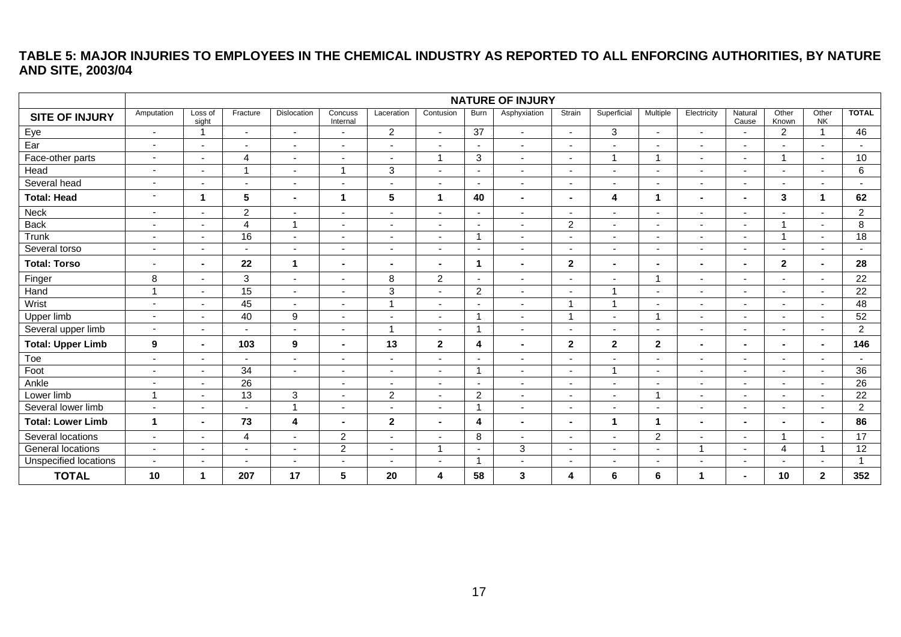#### **TABLE 5: MAJOR INJURIES TO EMPLOYEES IN THE CHEMICAL INDUSTRY AS REPORTED TO ALL ENFORCING AUTHORITIES, BY NATURE AND SITE, 2003/04**

<span id="page-16-0"></span>

|                          | <b>NATURE OF INJURY</b>  |                          |                 |                          |                          |                          |                          |                         |                          |                          |                          |                          |                          |                          |                          |                          |                          |
|--------------------------|--------------------------|--------------------------|-----------------|--------------------------|--------------------------|--------------------------|--------------------------|-------------------------|--------------------------|--------------------------|--------------------------|--------------------------|--------------------------|--------------------------|--------------------------|--------------------------|--------------------------|
| <b>SITE OF INJURY</b>    | Amputation               | Loss of<br>sight         | Fracture        | Dislocation              | Concuss<br>Internal      | Laceration               | Contusion                | Burn                    | Asphyxiation             | Strain                   | Superficial              | Multiple                 | Electricity              | Natural<br>Cause         | Other<br>Known           | Other<br><b>NK</b>       | <b>TOTAL</b>             |
| Eye                      | $\sim$                   | -1                       | $\overline{a}$  | $\blacksquare$           | $\overline{\phantom{a}}$ | $\overline{2}$           | $\sim$                   | $\overline{37}$         | $\blacksquare$           | $\sim$                   | 3                        | $\overline{a}$           | $\blacksquare$           | $\blacksquare$           | $\overline{2}$           | $\overline{1}$           | 46                       |
| Ear                      | $\blacksquare$           | $\overline{\phantom{a}}$ | ٠               | $\overline{\phantom{a}}$ | $\overline{\phantom{a}}$ | $\overline{\phantom{a}}$ | $\blacksquare$           | $\sim$                  | $\blacksquare$           | $\overline{\phantom{0}}$ | $\overline{\phantom{0}}$ | $\blacksquare$           | ÷,                       | $\blacksquare$           |                          |                          |                          |
| Face-other parts         | $\overline{\phantom{a}}$ | $\overline{\phantom{a}}$ | $\overline{4}$  | $\overline{\phantom{a}}$ | $\sim$                   | $\sim$                   | $\overline{1}$           | $\mathbf{3}$            | $\overline{\phantom{a}}$ | $\sim$                   | $\overline{ }$           | 1                        | $\blacksquare$           | $\overline{\phantom{a}}$ | 1                        | $\overline{\phantom{a}}$ | 10                       |
| Head                     | $\blacksquare$           | $\overline{\phantom{0}}$ | $\overline{1}$  | $\blacksquare$           | -1                       | 3                        | $\overline{\phantom{a}}$ | $\sim$                  | $\overline{\phantom{a}}$ |                          | $\overline{\phantom{a}}$ | $\overline{\phantom{a}}$ | $\blacksquare$           | $\overline{\phantom{a}}$ |                          | $\blacksquare$           | 6                        |
| Several head             | $\sim$                   | $\overline{\phantom{0}}$ | ٠               | $\blacksquare$           |                          | $\sim$                   | $\blacksquare$           | $\sim$                  | $\blacksquare$           |                          | $\blacksquare$           | $\blacksquare$           | $\blacksquare$           | $\blacksquare$           |                          |                          | $\overline{\phantom{a}}$ |
| <b>Total: Head</b>       | $\overline{\phantom{a}}$ | 1                        | $5\phantom{.0}$ | $\blacksquare$           | 1                        | 5                        | $\overline{1}$           | 40                      | $\blacksquare$           | $\blacksquare$           | $\overline{\mathbf{4}}$  | $\blacktriangleleft$     | $\blacksquare$           | $\sim$                   | 3                        | $\mathbf{1}$             | 62                       |
| Neck                     | $\overline{\phantom{a}}$ | $\sim$                   | $\overline{c}$  | $\sim$                   | $\overline{\phantom{a}}$ | $\blacksquare$           | $\sim$                   | $\sim$                  | $\overline{\phantom{a}}$ |                          | $\blacksquare$           | $\blacksquare$           | $\blacksquare$           |                          |                          |                          | $\overline{2}$           |
| <b>Back</b>              | $\sim$                   | $\sim$                   | $\overline{4}$  | $\overline{ }$           | $\sim$                   | $\sim$                   | $\sim$                   | $\sim$                  | $\overline{\phantom{a}}$ | $\overline{2}$           | $\sim$                   | $\blacksquare$           | $\sim$                   | $\blacksquare$           | $\overline{1}$           | $\sim$                   | 8                        |
| Trunk                    | $\sim$                   | $\overline{\phantom{a}}$ | 16              | $\overline{\phantom{a}}$ | $\sim$                   | $\overline{\phantom{a}}$ | $\blacksquare$           | $\overline{\mathbf{1}}$ | $\overline{\phantom{a}}$ | $\overline{\phantom{a}}$ | $\overline{\phantom{a}}$ | $\overline{\phantom{a}}$ | $\overline{\phantom{a}}$ | $\blacksquare$           | $\overline{ }$           | $\overline{\phantom{a}}$ | $\overline{18}$          |
| Several torso            | $\blacksquare$           | $\overline{\phantom{a}}$ | ٠               |                          |                          | $\blacksquare$           | $\blacksquare$           | $\sim$                  | $\blacksquare$           |                          | $\blacksquare$           | $\blacksquare$           | $\blacksquare$           | $\blacksquare$           | $\overline{\phantom{a}}$ | $\blacksquare$           |                          |
| <b>Total: Torso</b>      | $\blacksquare$           | ٠.                       | 22              | 1                        | $\sim$                   | $\blacksquare$           | $\blacksquare$           | $\mathbf{1}$            | $\blacksquare$           | $\mathbf{2}$             | $\blacksquare$           | $\blacksquare$           | $\blacksquare$           | $\blacksquare$           | $\overline{2}$           | $\blacksquare$           | 28                       |
| Finger                   | 8                        | $\sim$                   | 3               | $\sim$                   | $\sim$                   | 8                        | $\overline{2}$           | $\sim$                  | $\blacksquare$           | $\sim$                   | $\sim$                   | $\overline{1}$           | $\sim$                   | $\blacksquare$           | $\sim$                   | $\overline{a}$           | 22                       |
| Hand                     | $\overline{1}$           | $\blacksquare$           | 15              | $\blacksquare$           | $\overline{\phantom{a}}$ | 3                        | $\blacksquare$           | $\overline{2}$          | $\blacksquare$           | $\overline{\phantom{a}}$ | $\overline{ }$           | $\blacksquare$           | $\blacksquare$           | $\blacksquare$           | $\overline{\phantom{a}}$ |                          | 22                       |
| Wrist                    | $\blacksquare$           | $\sim$                   | 45              | ÷                        |                          | $\mathbf{1}$             | $\sim$                   | $\sim$                  | $\blacksquare$           | -1                       | -1                       | $\overline{\phantom{a}}$ | $\sim$                   | $\sim$                   |                          |                          | 48                       |
| Upper limb               | $\sim$                   | $\sim$                   | 40              | $\boldsymbol{9}$         | $\sim$                   | $\sim$                   | $\sim$                   | $\overline{1}$          | $\sim$                   | $\overline{ }$           | $\sim$                   | $\overline{1}$           | $\mathbf{r}$             | $\sim$                   | $\sim$                   | $\overline{a}$           | 52                       |
| Several upper limb       | $\overline{\phantom{a}}$ | $\sim$                   | ٠               | $\blacksquare$           | $\sim$                   | $\mathbf{1}$             | $\blacksquare$           | $\overline{1}$          | $\blacksquare$           |                          | $\blacksquare$           | $\blacksquare$           | $\blacksquare$           | $\blacksquare$           | $\overline{\phantom{a}}$ | $\overline{\phantom{a}}$ | $\overline{2}$           |
| <b>Total: Upper Limb</b> | 9                        | $\blacksquare$           | 103             | 9                        | $\sim$                   | 13                       | $\mathbf{2}$             | 4                       | $\blacksquare$           | $\mathbf{2}$             | $\mathbf{2}$             | $\mathbf{2}$             | $\blacksquare$           | $\blacksquare$           | $\blacksquare$           | $\blacksquare$           | 146                      |
| Toe                      | $\sim$                   | $\overline{a}$           | ٠               | $\sim$                   |                          | $\sim$                   | $\blacksquare$           | $\overline{a}$          | $\overline{\phantom{a}}$ |                          | $\overline{\phantom{a}}$ | $\blacksquare$           | $\blacksquare$           | $\overline{\phantom{a}}$ |                          | $\blacksquare$           |                          |
| Foot                     | $\blacksquare$           | $\blacksquare$           | 34              | $\sim$                   | $\overline{\phantom{a}}$ | $\sim$                   | $\sim$                   | $\overline{1}$          | $\blacksquare$           | $\overline{\phantom{a}}$ |                          | $\blacksquare$           | $\blacksquare$           | $\overline{\phantom{a}}$ | $\overline{\phantom{a}}$ | $\sim$                   | 36                       |
| Ankle                    | $\overline{a}$           | $\blacksquare$           | $\overline{26}$ |                          | $\overline{\phantom{a}}$ | $\overline{\phantom{a}}$ | $\overline{\phantom{a}}$ |                         | $\sim$                   |                          | $\blacksquare$           | $\blacksquare$           | $\blacksquare$           | $\blacksquare$           | $\overline{\phantom{a}}$ | $\overline{\phantom{a}}$ | $\overline{26}$          |
| Lower limb               | $\overline{1}$           | $\sim$                   | 13              | 3                        | $\sim$                   | $\overline{2}$           | $\sim$                   | $\overline{2}$          | $\overline{\phantom{a}}$ | $\overline{\phantom{a}}$ | $\overline{\phantom{a}}$ | $\overline{1}$           | $\blacksquare$           | $\overline{a}$           | $\overline{\phantom{a}}$ | $\overline{a}$           | 22                       |
| Several lower limb       | $\blacksquare$           | $\overline{\phantom{a}}$ | $\blacksquare$  |                          | $\overline{\phantom{a}}$ | $\blacksquare$           | $\sim$                   | -1                      | $\overline{\phantom{a}}$ | $\overline{\phantom{0}}$ | $\blacksquare$           | $\blacksquare$           | $\blacksquare$           | $\sim$                   | $\sim$                   | $\blacksquare$           | $\overline{c}$           |
| <b>Total: Lower Limb</b> | $\mathbf 1$              | ۰.                       | 73              | 4                        | $\blacksquare$           | $\mathbf{2}$             | $\blacksquare$           | 4                       | $\blacksquare$           | $\blacksquare$           | $\blacktriangleleft$     | $\blacktriangleleft$     | $\blacksquare$           | $\blacksquare$           | $\blacksquare$           |                          | 86                       |
| Several locations        | $\sim$                   | $\sim$                   | $\overline{4}$  | $\sim$                   | $\sqrt{2}$               | $\sim$                   | $\overline{a}$           | 8                       | $\blacksquare$           | $\overline{\phantom{a}}$ | $\overline{\phantom{a}}$ | $\overline{2}$           | $\sim$                   | $\overline{\phantom{a}}$ | $\overline{1}$           | $\blacksquare$           | 17                       |
| General locations        | $\blacksquare$           | $\overline{\phantom{a}}$ | ٠               | $\overline{a}$           | $\overline{c}$           | $\blacksquare$           | $\overline{1}$           | $\overline{a}$          | $\mathbf{3}$             | $\overline{\phantom{0}}$ | $\overline{\phantom{a}}$ | $\blacksquare$           | $\overline{A}$           | $\blacksquare$           | $\overline{4}$           |                          | $\overline{12}$          |
| Unspecified locations    | $\sim$                   | $\blacksquare$           | $\blacksquare$  |                          | $\overline{\phantom{a}}$ | $\blacksquare$           | $\blacksquare$           | $\overline{1}$          | $\overline{\phantom{a}}$ |                          | $\blacksquare$           | $\blacksquare$           | $\blacksquare$           | $\overline{\phantom{a}}$ |                          |                          | $\overline{1}$           |
| <b>TOTAL</b>             | 10                       |                          | 207             | 17                       | $5\phantom{1}$           | 20                       | 4                        | 58                      | $\mathbf{3}$             | 4                        | $6\phantom{1}6$          | 6                        |                          |                          | 10                       | $\mathbf{2}$             | 352                      |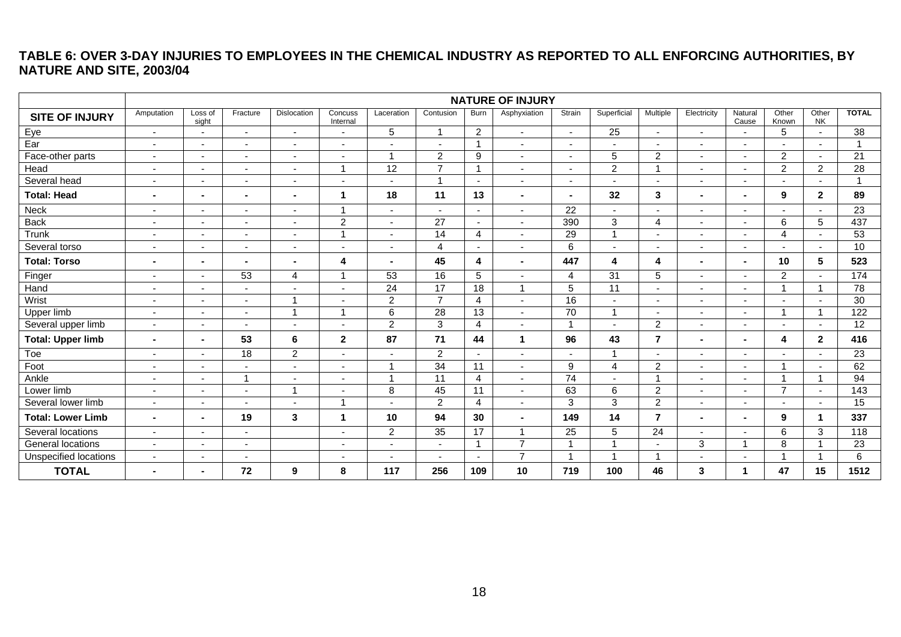### **TABLE 6: OVER 3-DAY INJURIES TO EMPLOYEES IN THE CHEMICAL INDUSTRY AS REPORTED TO ALL ENFORCING AUTHORITIES, BY NATURE AND SITE, 2003/04**

<span id="page-17-0"></span>

|                          |                          |                          |                          |                          |                          |                          |                          |                          | <b>NATURE OF INJURY</b>  |                          |                          |                          |                          |                          |                          |                    |                 |
|--------------------------|--------------------------|--------------------------|--------------------------|--------------------------|--------------------------|--------------------------|--------------------------|--------------------------|--------------------------|--------------------------|--------------------------|--------------------------|--------------------------|--------------------------|--------------------------|--------------------|-----------------|
| <b>SITE OF INJURY</b>    | Amputation               | Loss of<br>sight         | Fracture                 | Dislocation              | Concuss<br>Internal      | Laceration               | Contusion                | Burn                     | Asphyxiation             | Strain                   | Superficial              | Multiple                 | Electricity              | Natural<br>Cause         | Other<br>Known           | Other<br><b>NK</b> | <b>TOTAL</b>    |
| Eye                      | $\sim$                   | $\sim$                   | $\overline{\phantom{a}}$ | $\blacksquare$           |                          | 5                        | $\overline{ }$           | $\overline{2}$           | $\sim$                   | $\sim$                   | $\overline{25}$          | $\overline{\phantom{a}}$ | $\blacksquare$           | $\overline{\phantom{a}}$ | 5                        |                    | 38              |
| $\overline{Ear}$         | $\overline{\phantom{a}}$ | $\overline{\phantom{a}}$ | $\overline{\phantom{a}}$ | $\overline{\phantom{a}}$ |                          | $\overline{\phantom{a}}$ | ٠                        | 1                        | $\overline{\phantom{a}}$ | $\overline{\phantom{a}}$ |                          | $\blacksquare$           |                          | $\overline{\phantom{a}}$ |                          |                    |                 |
| Face-other parts         | $\blacksquare$           | ٠                        | $\overline{\phantom{a}}$ | $\overline{\phantom{a}}$ |                          | $\mathbf{1}$             | 2                        | 9                        | $\blacksquare$           | $\blacksquare$           | 5                        | $\overline{2}$           | $\blacksquare$           | $\blacksquare$           | $\overline{2}$           |                    | 21              |
| Head                     | $\blacksquare$           | $\overline{\phantom{a}}$ | $\blacksquare$           | $\blacksquare$           | $\overline{ }$           | $\overline{12}$          | $\overline{7}$           | $\mathbf{1}$             | $\overline{\phantom{a}}$ | $\blacksquare$           | $\overline{2}$           |                          | $\sim$                   | $\blacksquare$           | $\overline{2}$           | $\overline{2}$     | $\overline{28}$ |
| Several head             | $\overline{\phantom{a}}$ | $\overline{\phantom{a}}$ | $\overline{\phantom{a}}$ | $\overline{\phantom{a}}$ |                          | ٠                        | $\overline{1}$           | $\sim$                   | $\overline{\phantom{a}}$ | $\overline{\phantom{a}}$ | $\overline{\phantom{a}}$ | $\overline{\phantom{a}}$ | $\overline{\phantom{a}}$ | $\overline{\phantom{a}}$ | $\overline{\phantom{a}}$ |                    |                 |
| <b>Total: Head</b>       | $\blacksquare$           | $\blacksquare$           | $\blacksquare$           | ۰                        | $\mathbf 1$              | 18                       | 11                       | 13                       | $\blacksquare$           |                          | 32                       | 3                        | $\blacksquare$           | $\blacksquare$           | 9                        | $\mathbf{2}$       | 89              |
| Neck                     | $\overline{\phantom{a}}$ | $\overline{\phantom{a}}$ | $\overline{\phantom{a}}$ | $\overline{\phantom{a}}$ | $\overline{1}$           | $\sim$                   | $\overline{\phantom{a}}$ | $\sim$                   | $\overline{\phantom{a}}$ | 22                       | $\overline{\phantom{a}}$ | $\blacksquare$           | $\blacksquare$           | $\overline{\phantom{a}}$ | $\overline{\phantom{a}}$ |                    | 23              |
| <b>Back</b>              | $\blacksquare$           | $\overline{\phantom{a}}$ | $\overline{\phantom{a}}$ | $\overline{\phantom{a}}$ | $\overline{c}$           | $\overline{\phantom{a}}$ | $\overline{27}$          | $\overline{\phantom{a}}$ | $\overline{\phantom{a}}$ | 390                      | 3                        | $\overline{4}$           | $\blacksquare$           | $\blacksquare$           | 6                        | 5                  | 437             |
| Trunk                    | $\blacksquare$           | $\blacksquare$           | $\overline{\phantom{a}}$ | $\overline{\phantom{0}}$ | $\overline{ }$           | $\sim$                   | 14                       | $\overline{4}$           | $\overline{\phantom{a}}$ | 29                       | $\overline{1}$           | ٠                        | $\blacksquare$           | $\overline{\phantom{a}}$ | $\overline{4}$           |                    | 53              |
| Several torso            | $\overline{\phantom{a}}$ | $\overline{\phantom{a}}$ | $\overline{\phantom{a}}$ | $\blacksquare$           | $\overline{\phantom{a}}$ | $\blacksquare$           | 4                        | $\overline{\phantom{a}}$ | $\sim$                   | 6                        | $\overline{\phantom{0}}$ | $\blacksquare$           | $\sim$                   | $\blacksquare$           | $\sim$                   |                    | 10              |
| <b>Total: Torso</b>      | $\blacksquare$           | $\blacksquare$           | $\blacksquare$           | $\blacksquare$           | 4                        | $\blacksquare$           | 45                       | 4                        | $\blacksquare$           | 447                      | 4                        | 4                        | $\blacksquare$           | $\blacksquare$           | 10                       | $5\phantom{.0}$    | 523             |
| Finger                   | $\blacksquare$           | $\blacksquare$           | 53                       | $\overline{4}$           | 1                        | 53                       | 16                       | 5                        | $\blacksquare$           | 4                        | $\overline{31}$          | 5                        | $\blacksquare$           | $\blacksquare$           | 2                        |                    | 174             |
| Hand                     | $\blacksquare$           | $\overline{\phantom{a}}$ | $\overline{\phantom{a}}$ | $\overline{\phantom{a}}$ | $\overline{\phantom{a}}$ | 24                       | 17                       | $\overline{18}$          | $\overline{1}$           | $\overline{5}$           | $\overline{11}$          | $\blacksquare$           | $\overline{a}$           | $\overline{\phantom{a}}$ |                          | 1                  | $\overline{78}$ |
| Wrist                    | -                        | ٠                        | $\overline{\phantom{a}}$ |                          |                          | $\overline{c}$           | $\overline{7}$           | $\overline{4}$           | $\blacksquare$           | 16                       |                          | $\blacksquare$           | $\blacksquare$           | $\blacksquare$           | $\blacksquare$           |                    | 30              |
| Upper limb               | $\blacksquare$           | $\blacksquare$           | $\blacksquare$           |                          | $\overline{ }$           | 6                        | $\overline{28}$          | $\overline{13}$          | $\overline{\phantom{a}}$ | 70                       | $\overline{1}$           | $\blacksquare$           | $\sim$                   | $\sim$                   | $\overline{\mathbf{A}}$  | -1                 | 122             |
| Several upper limb       | $\blacksquare$           | $\overline{\phantom{a}}$ | $\overline{\phantom{0}}$ | $\overline{\phantom{a}}$ |                          | $\overline{a}$           | $\mathbf{3}$             | $\overline{4}$           | $\overline{\phantom{a}}$ | $\overline{ }$           | $\overline{\phantom{0}}$ | $\overline{c}$           | $\blacksquare$           | $\blacksquare$           | $\overline{a}$           |                    | $\overline{12}$ |
| <b>Total: Upper limb</b> | $\blacksquare$           | $\blacksquare$           | 53                       | 6                        | $\mathbf{2}$             | 87                       | 71                       | 44                       | $\mathbf{1}$             | 96                       | 43                       | $\overline{7}$           | $\blacksquare$           | $\blacksquare$           | 4                        | $\mathbf{2}$       | 416             |
| Toe                      | $\blacksquare$           | $\sim$                   | 18                       | $\overline{2}$           | $\sim$                   | $\blacksquare$           | $\overline{2}$           | $\overline{\phantom{a}}$ | $\overline{\phantom{a}}$ | $\sim$                   | $\overline{\mathbf{A}}$  | $\overline{\phantom{a}}$ | $\blacksquare$           | $\overline{\phantom{a}}$ | $\overline{\phantom{a}}$ |                    | 23              |
| Foot                     | $\blacksquare$           | $\overline{\phantom{a}}$ | ٠                        | $\blacksquare$           |                          | $\mathbf{1}$             | $\overline{34}$          | 11                       | $\overline{\phantom{a}}$ | 9                        | $\overline{4}$           | $\overline{c}$           | $\sim$                   | $\overline{\phantom{0}}$ | $\overline{A}$           |                    | 62              |
| Ankle                    | $\blacksquare$           | $\blacksquare$           | $\overline{\mathbf{A}}$  | $\blacksquare$           |                          | $\overline{1}$           | 11                       | $\overline{4}$           | $\blacksquare$           | 74                       | $\blacksquare$           |                          | $\blacksquare$           | $\blacksquare$           | $\overline{\mathbf{A}}$  |                    | 94              |
| Lower limb               | $\sim$                   | $\sim$                   | $\blacksquare$           | -1                       |                          | 8                        | 45                       | 11                       | $\sim$                   | 63                       | $\,6$                    | $\overline{2}$           | $\sim$                   | $\sim$                   | $\overline{7}$           |                    | $\frac{1}{143}$ |
| Several lower limb       | $\blacksquare$           | $\overline{\phantom{a}}$ | $\overline{\phantom{a}}$ |                          | 1                        | $\sim$                   | 2                        | 4                        | $\sim$                   | 3                        | 3                        | $\overline{c}$           | $\overline{\phantom{a}}$ | $\overline{\phantom{0}}$ | $\overline{\phantom{a}}$ |                    | 15              |
| <b>Total: Lower Limb</b> | $\blacksquare$           | ٠.                       | 19                       | 3                        | $\mathbf{1}$             | 10                       | 94                       | 30                       | $\blacksquare$           | 149                      | 14                       | $\overline{7}$           | $\blacksquare$           | $\blacksquare$           | 9                        | -1                 | 337             |
| Several locations        | $\blacksquare$           | $\blacksquare$           | $\blacksquare$           |                          | $\overline{\phantom{a}}$ | $\overline{a}$           | 35                       | 17                       | $\overline{1}$           | 25                       | 5                        | 24                       | $\overline{a}$           | $\overline{\phantom{a}}$ | 6                        | 3                  | 118             |
| General locations        | $\blacksquare$           | $\overline{\phantom{a}}$ | $\overline{\phantom{a}}$ |                          |                          | $\overline{\phantom{0}}$ | $\blacksquare$           | 1                        | $\overline{7}$           |                          |                          | ٠                        | $\mathbf{3}$             |                          | 8                        |                    | 23              |
| Unspecified locations    | $\blacksquare$           | $\overline{\phantom{a}}$ | $\overline{\phantom{a}}$ |                          |                          | $\overline{\phantom{0}}$ | $\overline{\phantom{a}}$ | $\overline{\phantom{a}}$ | $\overline{7}$           | -1                       |                          |                          |                          | ٠                        | $\overline{\mathbf{A}}$  |                    | 6               |
| <b>TOTAL</b>             | $\blacksquare$           |                          | 72                       | 9                        | 8                        | 117                      | 256                      | 109                      | 10                       | 719                      | 100                      | 46                       | 3                        | 1                        | 47                       | 15                 | 1512            |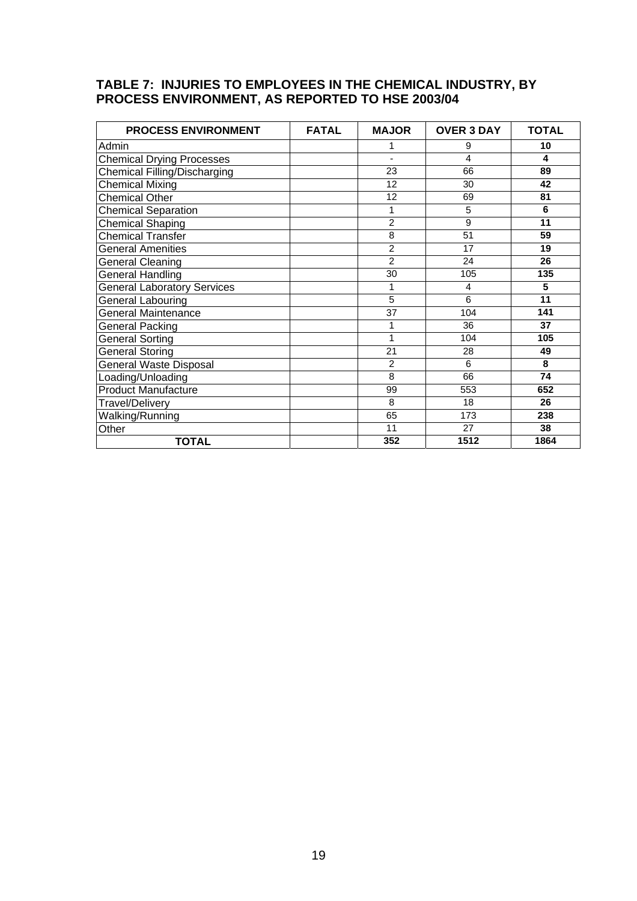#### <span id="page-18-0"></span>**TABLE 7: INJURIES TO EMPLOYEES IN THE CHEMICAL INDUSTRY, BY PROCESS ENVIRONMENT, AS REPORTED TO HSE 2003/04**

| <b>PROCESS ENVIRONMENT</b>         | <b>FATAL</b> | <b>MAJOR</b>    | <b>OVER 3 DAY</b> | <b>TOTAL</b> |
|------------------------------------|--------------|-----------------|-------------------|--------------|
| Admin                              |              | 1               | 9                 | 10           |
| <b>Chemical Drying Processes</b>   |              |                 | 4                 | 4            |
| Chemical Filling/Discharging       |              | $\overline{23}$ | 66                | 89           |
| Chemical Mixing                    |              | 12              | 30                | 42           |
| <b>Chemical Other</b>              |              | 12              | 69                | 81           |
| Chemical Separation                |              | 1               | 5                 | 6            |
| Chemical Shaping                   |              | $\overline{2}$  | 9                 | 11           |
| <b>Chemical Transfer</b>           |              | 8               | 51                | 59           |
| <b>General Amenities</b>           |              | $\overline{2}$  | 17                | 19           |
| <b>General Cleaning</b>            |              | $\overline{2}$  | 24                | 26           |
| <b>General Handling</b>            |              | 30              | 105               | 135          |
| <b>General Laboratory Services</b> |              | 1               | 4                 | 5            |
| General Labouring                  |              | $\overline{5}$  | 6                 | 11           |
| <b>General Maintenance</b>         |              | 37              | 104               | 141          |
| <b>General Packing</b>             |              | 1               | 36                | 37           |
| General Sorting                    |              | 1               | 104               | 105          |
| General Storing                    |              | 21              | 28                | 49           |
| <b>General Waste Disposal</b>      |              | 2               | 6                 | 8            |
| Loading/Unloading                  |              | 8               | 66                | 74           |
| <b>Product Manufacture</b>         |              | 99              | 553               | 652          |
| <b>Travel/Delivery</b>             |              | 8               | 18                | 26           |
| Walking/Running                    |              | 65              | 173               | 238          |
| Other                              |              | 11              | 27                | 38           |
| <b>TOTAL</b>                       |              | 352             | 1512              | 1864         |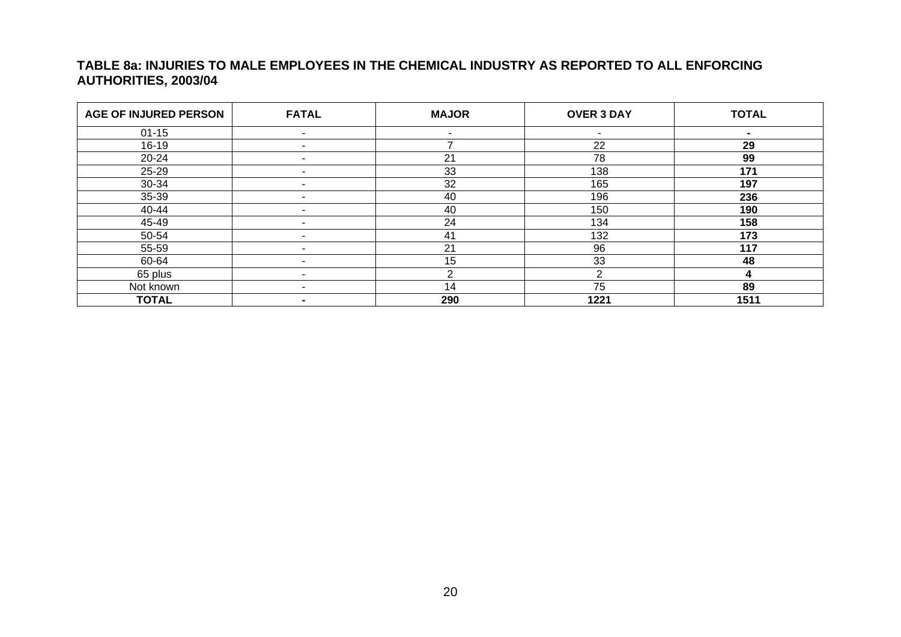#### **TABLE 8a: INJURIES TO MALE EMPLOYEES IN THE CHEMICAL INDUSTRY AS REPORTED TO ALL ENFORCING AUTHORITIES, 2003/04**

<span id="page-19-0"></span>

| <b>AGE OF INJURED PERSON</b> | <b>FATAL</b>   | <b>MAJOR</b> | <b>OVER 3 DAY</b>        | <b>TOTAL</b>   |
|------------------------------|----------------|--------------|--------------------------|----------------|
| $01 - 15$                    |                | ۰            | $\overline{\phantom{a}}$ | $\blacksquare$ |
| $16-19$                      |                |              | 22                       | 29             |
| 20-24                        |                | 21           | 78                       | 99             |
| 25-29                        |                | 33           | 138                      | 171            |
| 30-34                        |                | 32           | 165                      | 197            |
| 35-39                        |                | 40           | 196                      | 236            |
| 40-44                        |                | 40           | 150                      | 190            |
| 45-49                        | -              | 24           | 134                      | 158            |
| 50-54                        |                | 41           | 132                      | 173            |
| 55-59                        |                | 21           | 96                       | 117            |
| 60-64                        | $\blacksquare$ | 15           | 33                       | 48             |
| 65 plus                      |                | ົ            | $\mathcal{P}$            |                |
| Not known                    | $\blacksquare$ | 14           | 75                       | 89             |
| <b>TOTAL</b>                 | $\blacksquare$ | 290          | 1221                     | 1511           |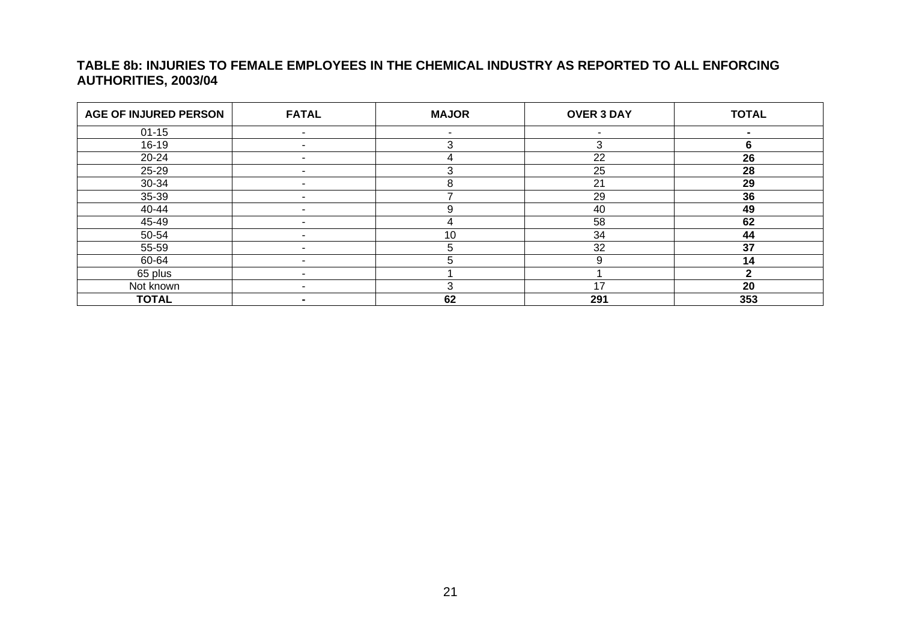#### **TABLE 8b: INJURIES TO FEMALE EMPLOYEES IN THE CHEMICAL INDUSTRY AS REPORTED TO ALL ENFORCING AUTHORITIES, 2003/04**

<span id="page-20-0"></span>

| <b>AGE OF INJURED PERSON</b> | <b>FATAL</b>             | <b>MAJOR</b> | <b>OVER 3 DAY</b>        | <b>TOTAL</b> |
|------------------------------|--------------------------|--------------|--------------------------|--------------|
| $01 - 15$                    |                          |              | $\overline{\phantom{0}}$ |              |
| $16-19$                      |                          | з            | 3                        | 6            |
| $20 - 24$                    |                          |              | 22                       | 26           |
| 25-29                        |                          |              | 25                       | 28           |
| 30-34                        |                          | ႙            | 21                       | 29           |
| 35-39                        |                          |              | 29                       | 36           |
| 40-44                        |                          | 9            | 40                       | 49           |
| 45-49                        |                          |              | 58                       | 62           |
| 50-54                        |                          | 10           | 34                       | 44           |
| 55-59                        |                          |              | 32                       | 37           |
| 60-64                        | -                        | 5            | 9                        | 14           |
| 65 plus                      |                          |              |                          |              |
| Not known                    | $\blacksquare$           |              | 17                       | 20           |
| <b>TOTAL</b>                 | $\overline{\phantom{0}}$ | 62           | 291                      | 353          |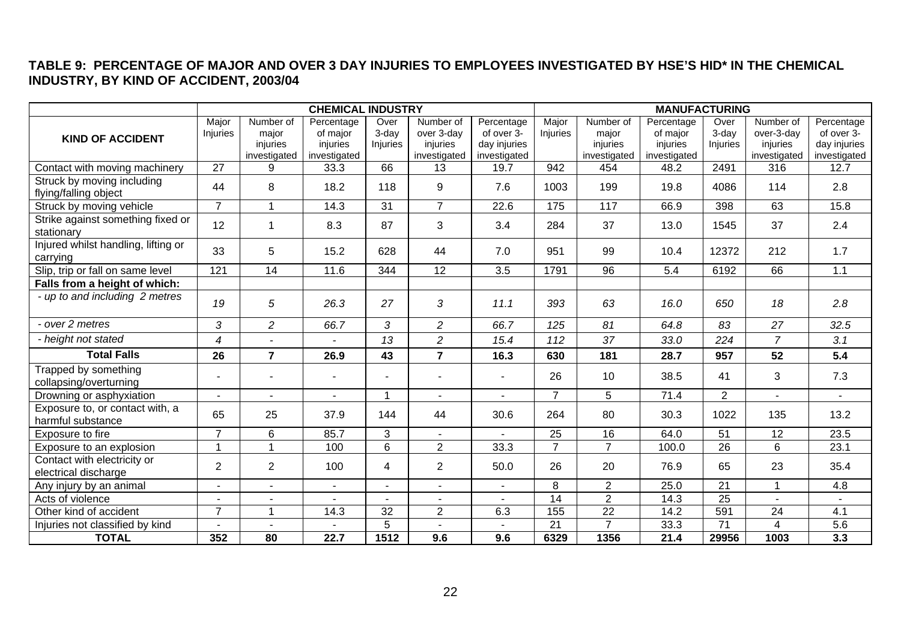#### **TABLE 9: PERCENTAGE OF MAJOR AND OVER 3 DAY INJURIES TO EMPLOYEES INVESTIGATED BY HSE'S HID\* IN THE CHEMICAL INDUSTRY, BY KIND OF ACCIDENT, 2003/04**

<span id="page-21-0"></span>

|                                                      | <b>CHEMICAL INDUSTRY</b> |                                                |                                                    | <b>MANUFACTURING</b>      |                                                     |                                                          |                          |                                                |                                                    |                              |                                                     |                                                          |
|------------------------------------------------------|--------------------------|------------------------------------------------|----------------------------------------------------|---------------------------|-----------------------------------------------------|----------------------------------------------------------|--------------------------|------------------------------------------------|----------------------------------------------------|------------------------------|-----------------------------------------------------|----------------------------------------------------------|
| <b>KIND OF ACCIDENT</b>                              | Major<br>Injuries        | Number of<br>major<br>injuries<br>investigated | Percentage<br>of major<br>injuries<br>investigated | Over<br>3-dav<br>Injuries | Number of<br>over 3-day<br>injuries<br>investigated | Percentage<br>of over 3-<br>day injuries<br>investigated | Major<br><b>Injuries</b> | Number of<br>major<br>injuries<br>investigated | Percentage<br>of major<br>injuries<br>investigated | Over<br>$3$ -day<br>Injuries | Number of<br>over-3-dav<br>injuries<br>investigated | Percentage<br>of over 3-<br>day injuries<br>investigated |
| Contact with moving machinery                        | $\overline{27}$          | 9                                              | 33.3                                               | 66                        | 13                                                  | 19.7                                                     | 942                      | 454                                            | 48.2                                               | 2491                         | 316                                                 | 12.7                                                     |
| Struck by moving including<br>flying/falling object  | 44                       | 8                                              | 18.2                                               | 118                       | 9                                                   | 7.6                                                      | 1003                     | 199                                            | 19.8                                               | 4086                         | 114                                                 | 2.8                                                      |
| Struck by moving vehicle                             | $\overline{7}$           | 1                                              | 14.3                                               | 31                        | $\overline{7}$                                      | 22.6                                                     | 175                      | 117                                            | 66.9                                               | 398                          | 63                                                  | 15.8                                                     |
| Strike against something fixed or<br>stationary      | 12                       | 1                                              | 8.3                                                | 87                        | 3                                                   | 3.4                                                      | 284                      | 37                                             | 13.0                                               | 1545                         | 37                                                  | 2.4                                                      |
| Injured whilst handling, lifting or<br>carrying      | 33                       | 5                                              | 15.2                                               | 628                       | 44                                                  | 7.0                                                      | 951                      | 99                                             | 10.4                                               | 12372                        | 212                                                 | 1.7                                                      |
| Slip, trip or fall on same level                     | 121                      | 14                                             | 11.6                                               | 344                       | 12                                                  | 3.5                                                      | 1791                     | 96                                             | 5.4                                                | 6192                         | 66                                                  | 1.1                                                      |
| Falls from a height of which:                        |                          |                                                |                                                    |                           |                                                     |                                                          |                          |                                                |                                                    |                              |                                                     |                                                          |
| - up to and including 2 metres                       | 19                       | 5                                              | 26.3                                               | 27                        | 3                                                   | 11.1                                                     | 393                      | 63                                             | 16.0                                               | 650                          | 18                                                  | 2.8                                                      |
| - over 2 metres                                      | 3                        | $\overline{c}$                                 | 66.7                                               | 3                         | $\overline{2}$                                      | 66.7                                                     | 125                      | 81                                             | 64.8                                               | 83                           | 27                                                  | 32.5                                                     |
| - height not stated                                  | 4                        |                                                |                                                    | 13                        | $\overline{c}$                                      | 15.4                                                     | 112                      | 37                                             | 33.0                                               | 224                          | $\overline{7}$                                      | 3.1                                                      |
| <b>Total Falls</b>                                   | 26                       | $\overline{7}$                                 | 26.9                                               | 43                        | $\overline{7}$                                      | 16.3                                                     | 630                      | 181                                            | 28.7                                               | 957                          | 52                                                  | 5.4                                                      |
| Trapped by something<br>collapsing/overturning       |                          |                                                |                                                    |                           |                                                     |                                                          | 26                       | 10                                             | 38.5                                               | 41                           | 3                                                   | 7.3                                                      |
| Drowning or asphyxiation                             | $\sim$                   | $\blacksquare$                                 | $\sim$                                             | $\overline{1}$            | $\blacksquare$                                      | $\sim$                                                   | $\overline{7}$           | 5                                              | 71.4                                               | 2                            | $\sim$                                              | $\sim$                                                   |
| Exposure to, or contact with, a<br>harmful substance | 65                       | 25                                             | 37.9                                               | 144                       | 44                                                  | 30.6                                                     | 264                      | 80                                             | 30.3                                               | 1022                         | 135                                                 | 13.2                                                     |
| Exposure to fire                                     | $\overline{7}$           | 6                                              | 85.7                                               | 3                         |                                                     |                                                          | 25                       | 16                                             | 64.0                                               | $\overline{51}$              | 12                                                  | 23.5                                                     |
| Exposure to an explosion                             | $\overline{1}$           |                                                | 100                                                | 6                         | $\overline{2}$                                      | 33.3                                                     | $\overline{7}$           | $\overline{7}$                                 | 100.0                                              | 26                           | $6\phantom{a}$                                      | 23.1                                                     |
| Contact with electricity or<br>electrical discharge  | $\overline{2}$           | $\overline{2}$                                 | 100                                                | 4                         | $\overline{2}$                                      | 50.0                                                     | 26                       | 20                                             | 76.9                                               | 65                           | 23                                                  | 35.4                                                     |
| Any injury by an animal                              | $\sim$                   | $\sim$                                         | $\sim$                                             |                           | $\sim$                                              | $\blacksquare$                                           | 8                        | $\overline{2}$                                 | 25.0                                               | 21                           | $\mathbf{1}$                                        | 4.8                                                      |
| Acts of violence                                     |                          |                                                |                                                    |                           |                                                     |                                                          | $\overline{14}$          | $\overline{2}$                                 | 14.3                                               | $\overline{25}$              |                                                     |                                                          |
| Other kind of accident                               | $\overline{7}$           | $\overline{1}$                                 | 14.3                                               | 32                        | $\overline{2}$                                      | 6.3                                                      | 155                      | $\overline{22}$                                | 14.2                                               | 591                          | 24                                                  | 4.1                                                      |
| Injuries not classified by kind                      |                          | $\blacksquare$                                 |                                                    | 5                         |                                                     |                                                          | 21                       | $\overline{7}$                                 | 33.3                                               | $\overline{71}$              | $\overline{4}$                                      | 5.6                                                      |
| <b>TOTAL</b>                                         | 352                      | 80                                             | 22.7                                               | 1512                      | 9.6                                                 | 9.6                                                      | 6329                     | 1356                                           | 21.4                                               | 29956                        | 1003                                                | 3.3                                                      |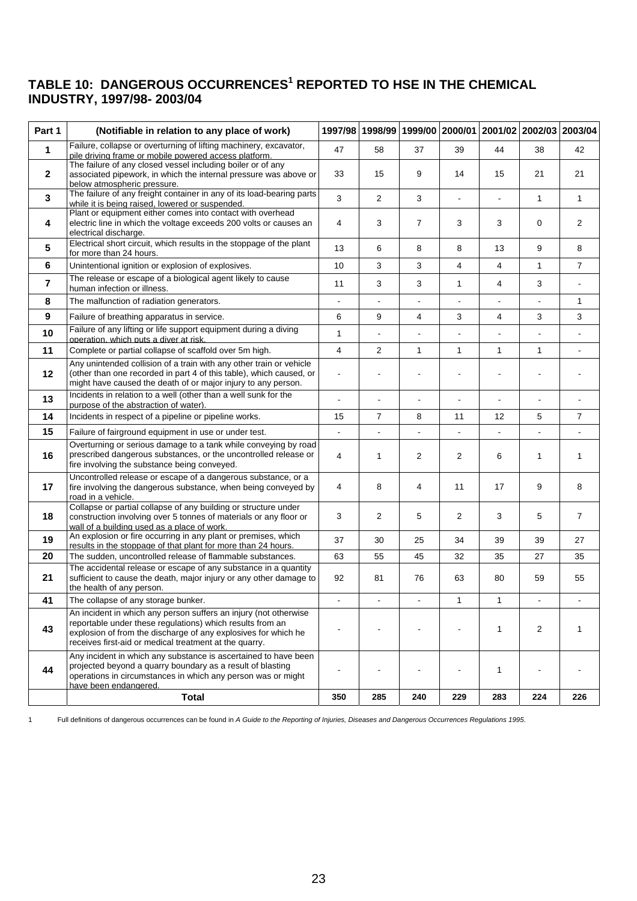#### <span id="page-22-0"></span>TABLE 10: DANGEROUS OCCURRENCES<sup>1</sup> REPORTED TO HSE IN THE CHEMICAL **INDUSTRY, 1997/98- 2003/04**

| Part 1         | (Notifiable in relation to any place of work)                                                                                                                                                                                                             |                |                |                          |                |                      | 1997/98 1998/99 1999/00 2000/01 2001/02 2002/03 2003/04 |                |
|----------------|-----------------------------------------------------------------------------------------------------------------------------------------------------------------------------------------------------------------------------------------------------------|----------------|----------------|--------------------------|----------------|----------------------|---------------------------------------------------------|----------------|
| $\mathbf{1}$   | Failure, collapse or overturning of lifting machinery, excavator,<br>pile driving frame or mobile powered access platform.                                                                                                                                |                | 58             | 37                       | 39             | 44                   | 38                                                      | 42             |
| $\mathbf{2}$   | The failure of any closed vessel including boiler or of any<br>associated pipework, in which the internal pressure was above or<br>below atmospheric pressure.                                                                                            |                | 15             | 9                        | 14             | 15                   | 21                                                      | 21             |
| 3              | The failure of any freight container in any of its load-bearing parts<br>while it is being raised, lowered or suspended.                                                                                                                                  | 3              | $\overline{2}$ | 3                        |                | $\overline{a}$       | 1                                                       | $\mathbf{1}$   |
| 4              | Plant or equipment either comes into contact with overhead<br>electric line in which the voltage exceeds 200 volts or causes an<br>electrical discharge.                                                                                                  | 4              | 3              | $\overline{7}$           | 3              | 3                    | 0                                                       | 2              |
| 5              | Electrical short circuit, which results in the stoppage of the plant<br>for more than 24 hours.                                                                                                                                                           | 13             | 6              | 8                        | 8              | 13                   | 9                                                       | 8              |
| 6              | Unintentional ignition or explosion of explosives.                                                                                                                                                                                                        | 10             | 3              | 3                        | 4              | 4                    | $\mathbf{1}$                                            | $\overline{7}$ |
| $\overline{7}$ | The release or escape of a biological agent likely to cause<br>human infection or illness.                                                                                                                                                                | 11             | 3              | 3                        | $\mathbf{1}$   | 4                    | 3                                                       | $\blacksquare$ |
| 8              | The malfunction of radiation generators.                                                                                                                                                                                                                  | $\blacksquare$ | $\blacksquare$ | $\blacksquare$           | $\blacksquare$ | $\overline{a}$       | $\blacksquare$                                          | 1              |
| 9              | Failure of breathing apparatus in service.                                                                                                                                                                                                                | 6              | 9              | 4                        | 3              | 4                    | 3                                                       | 3              |
| 10             | Failure of any lifting or life support equipment during a diving<br>operation. which puts a diver at risk.                                                                                                                                                | $\mathbf{1}$   |                |                          |                |                      |                                                         |                |
| 11             | Complete or partial collapse of scaffold over 5m high.                                                                                                                                                                                                    | $\overline{4}$ | 2              | $\mathbf{1}$             | $\mathbf{1}$   | 1                    | $\mathbf{1}$                                            |                |
| 12             | Any unintended collision of a train with any other train or vehicle<br>(other than one recorded in part 4 of this table), which caused, or<br>might have caused the death of or major injury to any person.                                               |                |                |                          |                |                      |                                                         |                |
| 13             | Incidents in relation to a well (other than a well sunk for the<br>purpose of the abstraction of water).                                                                                                                                                  |                | $\blacksquare$ | $\ddot{\phantom{a}}$     | $\blacksquare$ | $\ddot{\phantom{a}}$ |                                                         |                |
| 14             | Incidents in respect of a pipeline or pipeline works.                                                                                                                                                                                                     | 15             | 7              | 8                        | 11             | 12                   | 5                                                       | 7              |
| 15             | Failure of fairground equipment in use or under test.                                                                                                                                                                                                     |                | $\blacksquare$ | $\overline{\phantom{a}}$ | $\blacksquare$ |                      |                                                         |                |
| 16             | Overturning or serious damage to a tank while conveying by road<br>prescribed dangerous substances, or the uncontrolled release or<br>fire involving the substance being conveyed.                                                                        | 4              | 1              | 2                        | 2              | 6                    | 1                                                       | $\mathbf{1}$   |
| 17             | Uncontrolled release or escape of a dangerous substance, or a<br>fire involving the dangerous substance, when being conveyed by<br>road in a vehicle.                                                                                                     | 4              | 8              | 4                        | 11             | 17                   | 9                                                       | 8              |
| 18             | Collapse or partial collapse of any building or structure under<br>construction involving over 5 tonnes of materials or any floor or<br>wall of a building used as a place of work.                                                                       |                | $\overline{2}$ | 5                        | 2              | 3                    | 5                                                       | $\overline{7}$ |
| 19             | An explosion or fire occurring in any plant or premises, which<br>results in the stoppage of that plant for more than 24 hours.                                                                                                                           | 37             | 30             | 25                       | 34             | 39                   | 39                                                      | 27             |
| 20             | The sudden, uncontrolled release of flammable substances.                                                                                                                                                                                                 | 63             | 55             | 45                       | 32             | 35                   | 27                                                      | 35             |
| 21             | The accidental release or escape of any substance in a quantity<br>sufficient to cause the death, major injury or any other damage to<br>the health of any person.                                                                                        |                | 81             | 76                       | 63             | 80                   | 59                                                      | 55             |
| 41             | The collapse of any storage bunker.                                                                                                                                                                                                                       |                |                |                          |                |                      |                                                         |                |
| 43             | An incident in which any person suffers an injury (not otherwise<br>reportable under these regulations) which results from an<br>explosion of from the discharge of any explosives for which he<br>receives first-aid or medical treatment at the quarry. |                |                |                          |                | 1                    | 2                                                       | 1              |
| 44             | Any incident in which any substance is ascertained to have been<br>projected beyond a quarry boundary as a result of blasting<br>operations in circumstances in which any person was or might<br>have been endangered.                                    |                |                |                          |                | 1                    |                                                         |                |
|                | <b>Total</b>                                                                                                                                                                                                                                              | 350            | 285            | 240                      | 229            | 283                  | 224                                                     | 226            |

1 Full definitions of dangerous occurrences can be found in *A Guide to the Reporting of Injuries, Diseases and Dangerous Occurrences Regulations 1995*.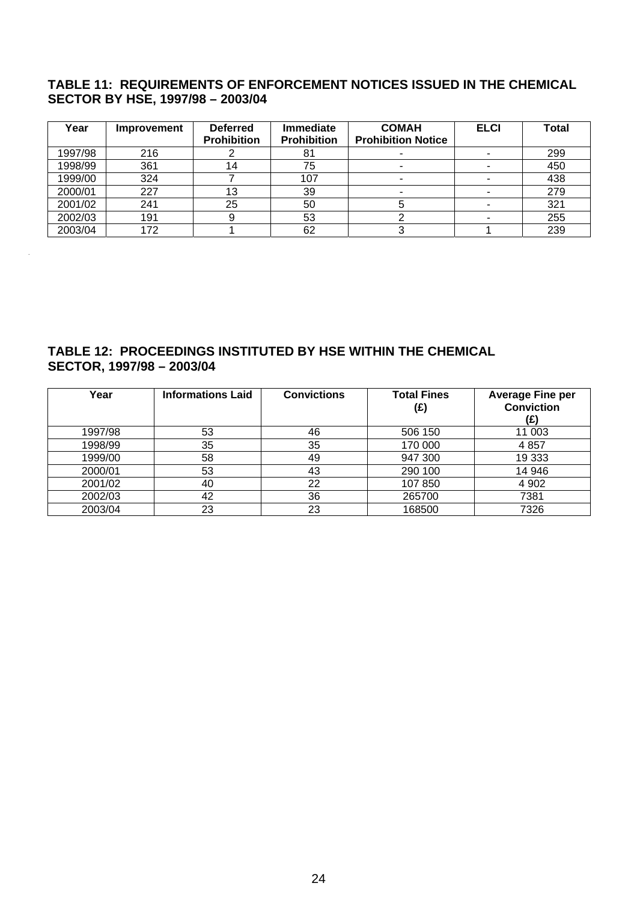#### <span id="page-23-0"></span>**TABLE 11: REQUIREMENTS OF ENFORCEMENT NOTICES ISSUED IN THE CHEMICAL SECTOR BY HSE, 1997/98 – 2003/04**

| Year    | <b>Improvement</b> | <b>Deferred</b><br><b>Prohibition</b> | <b>Immediate</b><br>Prohibition | <b>COMAH</b><br><b>Prohibition Notice</b> | <b>ELCI</b> | Total |
|---------|--------------------|---------------------------------------|---------------------------------|-------------------------------------------|-------------|-------|
| 1997/98 | 216                |                                       | 81                              |                                           |             | 299   |
| 1998/99 | 361                | 14                                    | 75                              |                                           |             | 450   |
| 1999/00 | 324                |                                       | 107                             |                                           |             | 438   |
| 2000/01 | 227                | 13                                    | 39                              |                                           |             | 279   |
| 2001/02 | 241                | 25                                    | 50                              |                                           |             | 321   |
| 2002/03 | 191                |                                       | 53                              |                                           |             | 255   |
| 2003/04 | 172                |                                       | 62                              |                                           |             | 239   |

### **TABLE 12: PROCEEDINGS INSTITUTED BY HSE WITHIN THE CHEMICAL SECTOR, 1997/98 – 2003/04**

.

| Year    | <b>Informations Laid</b> | <b>Convictions</b> | <b>Total Fines</b><br>(£) | <b>Average Fine per</b><br><b>Conviction</b><br>(£) |
|---------|--------------------------|--------------------|---------------------------|-----------------------------------------------------|
| 1997/98 | 53                       | 46                 | 506 150                   | 11 003                                              |
| 1998/99 | 35                       | 35                 | 170 000                   | 4 8 5 7                                             |
| 1999/00 | 58                       | 49                 | 947 300                   | 19 3 33                                             |
| 2000/01 | 53                       | 43                 | 290 100                   | 14 946                                              |
| 2001/02 | 40                       | 22                 | 107 850                   | 4 9 0 2                                             |
| 2002/03 | 42                       | 36                 | 265700                    | 7381                                                |
| 2003/04 | 23                       | 23                 | 168500                    | 7326                                                |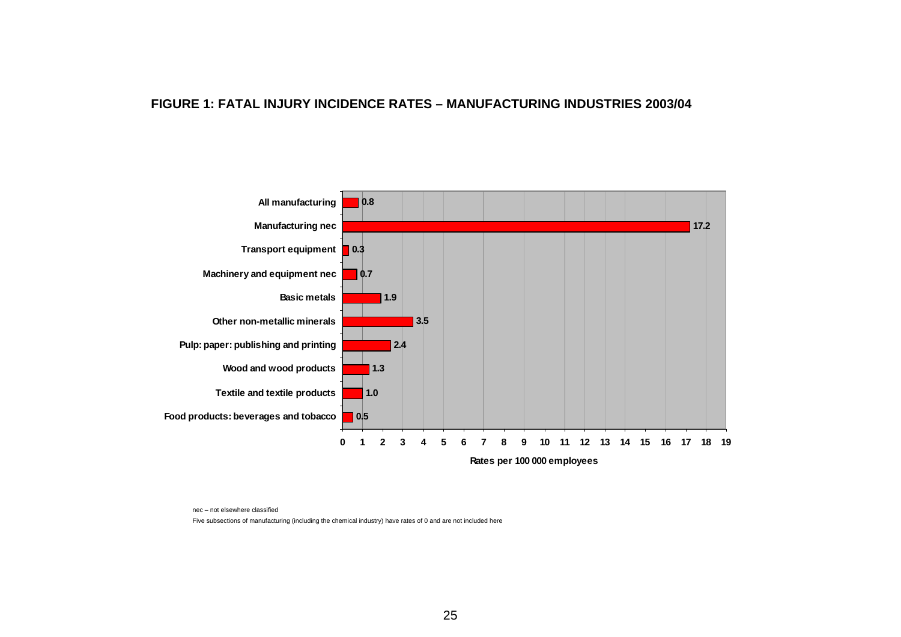#### **FIGURE 1: FATAL INJURY INCIDENCE RATES – MANUFACTURING INDUSTRIES 2003/04**



nec – not elsewhere classified

<span id="page-24-0"></span>Five subsections of manufacturing (including the chemical industry) have rates of 0 and are not included here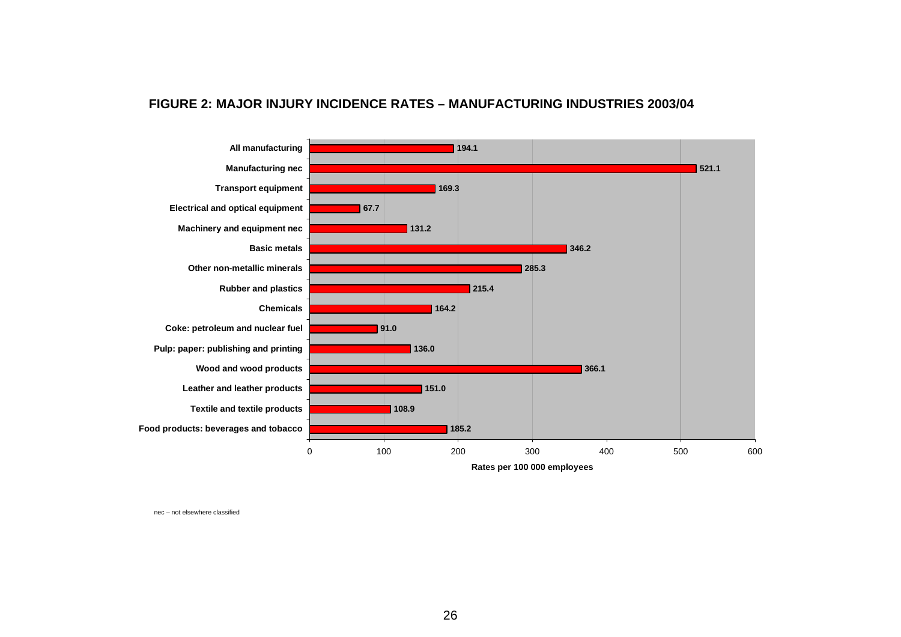#### **FIGURE 2: MAJOR INJURY INCIDENCE RATES – MANUFACTURING INDUSTRIES 2003/04**



<span id="page-25-0"></span>nec – not elsewhere classified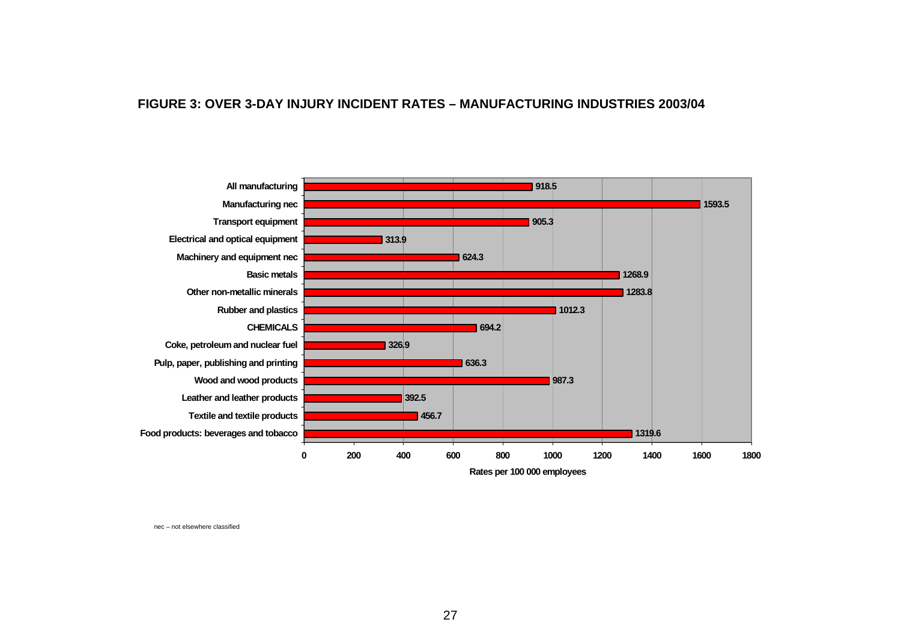#### **FIGURE 3: OVER 3-DAY INJURY INCIDENT RATE S – MANUFACTURING INDUSTRIE S 2003/04**



<span id="page-26-0"></span>nec – not elsewhere classified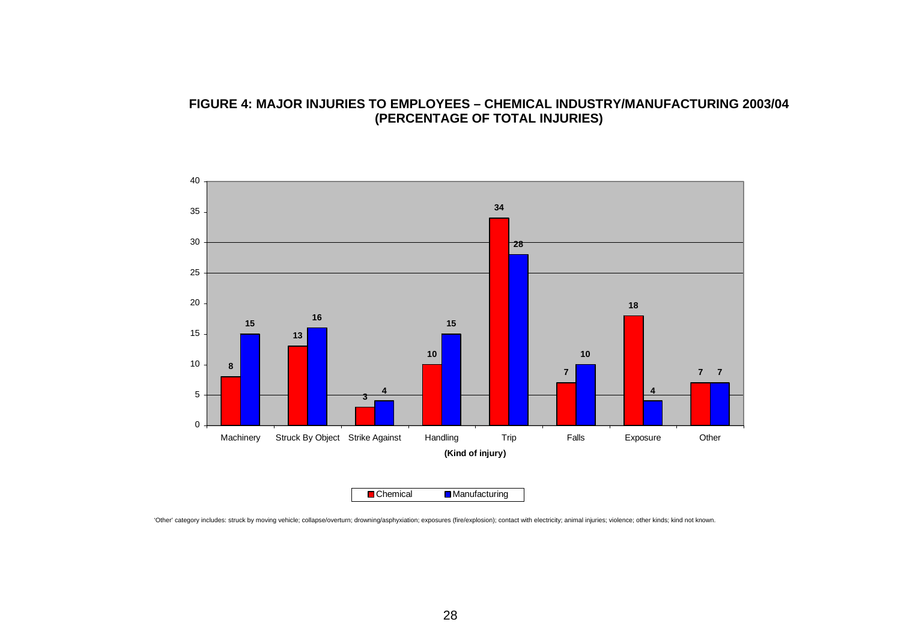#### **FIGURE 4: MAJOR INJURIES TO EMPLOYEES – CHEMICAL INDUSTRY/MANUFACTURING 2003/04 (PERCENTAGE OF TOTAL INJURIES)**



<span id="page-27-0"></span>'Other' category includes: struck by moving vehicle; collapse/overturn; drowning/asphyxiation; exposures (fire/explosion); contact with electricity; animal injuries; violence; other kinds; kind not known.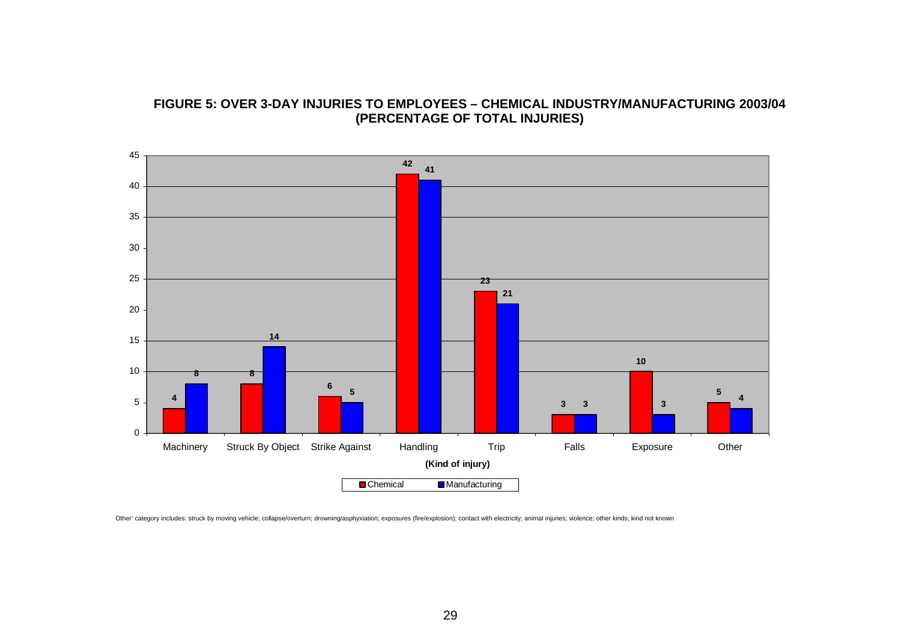

#### **FIGURE 5: OVER 3-DAY INJURIES TO EMPLOYEES – CHEMICAL INDUSTRY/MANUFACTURING 2003/04 (PERCENTAGE OF TOTAL INJURIES)**

<span id="page-28-0"></span>Other' category includes: struck by moving vehicle; collapse/overturn; drowning/asphyxiation; exposures (fire/explosion); contact with electricity; animal injuries; violence; other kinds; kind not known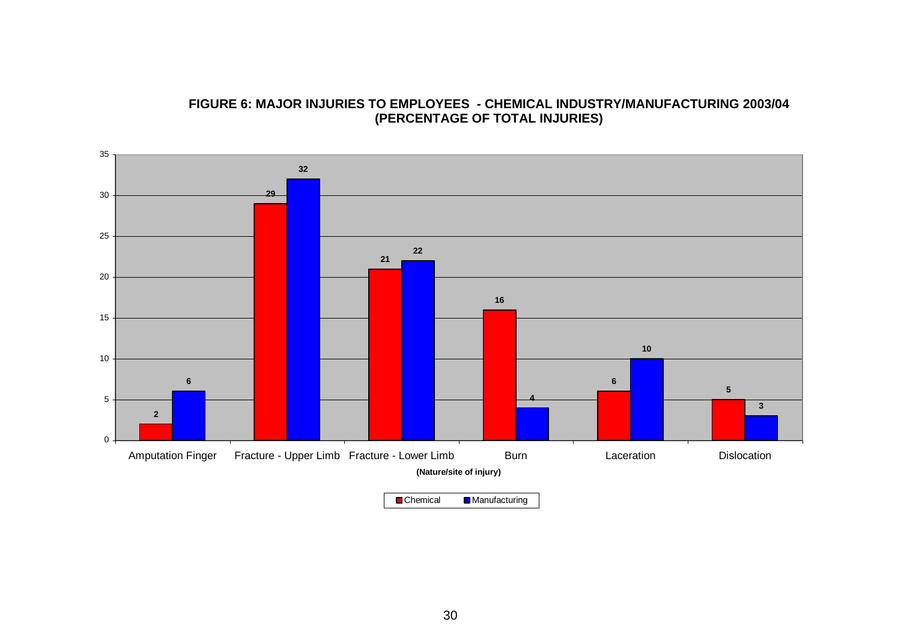

#### **FIGURE 6: MAJOR INJURIES TO EMPLOYEES - CHEMICAL INDUSTRY/MANUFACTURING 2003/04 (PERCENTAGE OF TOTAL INJURIES)**

<span id="page-29-0"></span>**Chemical Manufacturing**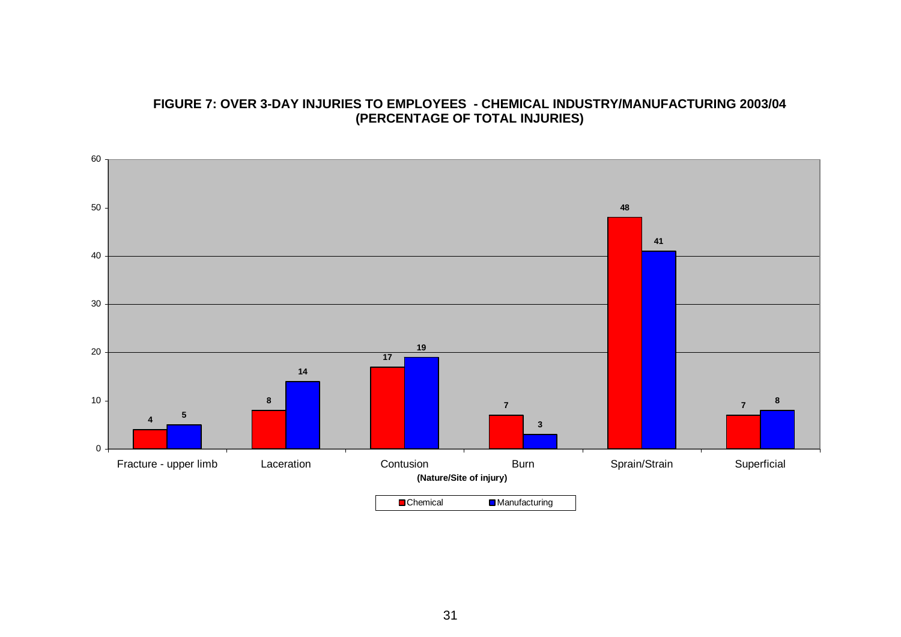#### **FIGURE 7: OVER 3-DAY INJURIES TO EMPLOYEES - CHEMICAL INDUSTRY/MANUFACTURING 2003/04 (PERCENTAGE OF TOTAL INJURIES)**

<span id="page-30-0"></span>